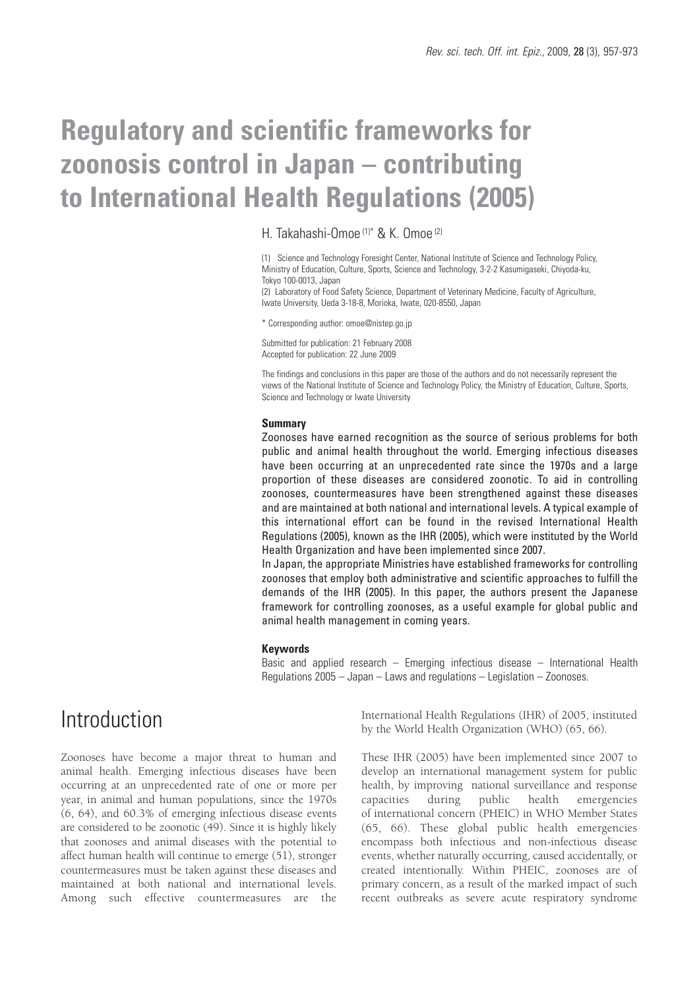# **Regulatory and scientific frameworks for zoonosis control in Japan – contributing to International Health Regulations (2005)**

H. Takahashi-Omoe (1)\* & K. Omoe (2)

(1) Science and Technology Foresight Center, National Institute of Science and Technology Policy, Ministry of Education, Culture, Sports, Science and Technology, 3-2-2 Kasumigaseki, Chiyoda-ku, Tokyo 100-0013, Japan

(2) Laboratory of Food Safety Science, Department of Veterinary Medicine, Faculty of Agriculture, Iwate University, Ueda 3-18-8, Morioka, Iwate, 020-8550, Japan

\* Corresponding author: omoe@nistep.go.jp

Submitted for publication: 21 February 2008 Accepted for publication: 22 June 2009

The findings and conclusions in this paper are those of the authors and do not necessarily represent the views of the National Institute of Science and Technology Policy, the Ministry of Education, Culture, Sports, Science and Technology or Iwate University

### **Summary**

Zoonoses have earned recognition as the source of serious problems for both public and animal health throughout the world. Emerging infectious diseases have been occurring at an unprecedented rate since the 1970s and a large proportion of these diseases are considered zoonotic. To aid in controlling zoonoses, countermeasures have been strengthened against these diseases and are maintained at both national and international levels. A typical example of this international effort can be found in the revised International Health Regulations (2005), known as the IHR (2005), which were instituted by the World Health Organization and have been implemented since 2007.

In Japan, the appropriate Ministries have established frameworks for controlling zoonoses that employ both administrative and scientific approaches to fulfill the demands of the IHR (2005). In this paper, the authors present the Japanese framework for controlling zoonoses, as a useful example for global public and animal health management in coming years.

### **Keywords**

Basic and applied research – Emerging infectious disease – International Health Regulations 2005 – Japan – Laws and regulations – Legislation – Zoonoses.

## Introduction

Zoonoses have become a major threat to human and animal health. Emerging infectious diseases have been occurring at an unprecedented rate of one or more per year, in animal and human populations, since the 1970s (6, 64), and 60.3% of emerging infectious disease events are considered to be zoonotic (49). Since it is highly likely that zoonoses and animal diseases with the potential to affect human health will continue to emerge (51), stronger countermeasures must be taken against these diseases and maintained at both national and international levels. Among such effective countermeasures are the

International Health Regulations (IHR) of 2005, instituted by the World Health Organization (WHO) (65, 66).

These IHR (2005) have been implemented since 2007 to develop an international management system for public health, by improving national surveillance and response capacities during public health emergencies of international concern (PHEIC) in WHO Member States (65, 66). These global public health emergencies encompass both infectious and non-infectious disease events, whether naturally occurring, caused accidentally, or created intentionally. Within PHEIC, zoonoses are of primary concern, as a result of the marked impact of such recent outbreaks as severe acute respiratory syndrome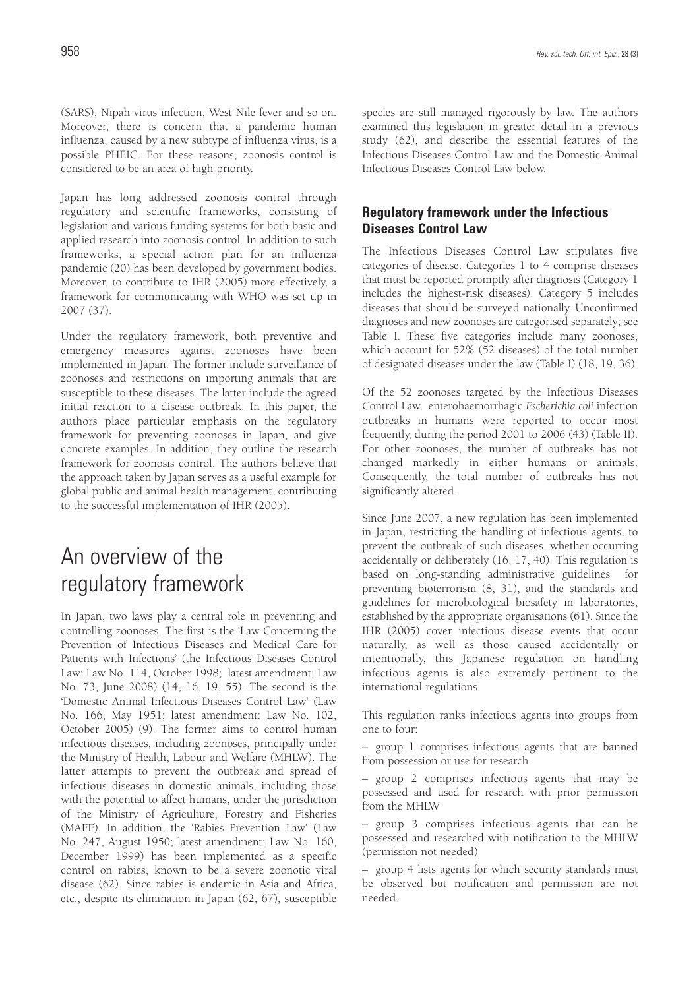(SARS), Nipah virus infection, West Nile fever and so on. Moreover, there is concern that a pandemic human influenza, caused by a new subtype of influenza virus, is a possible PHEIC. For these reasons, zoonosis control is considered to be an area of high priority.

Japan has long addressed zoonosis control through regulatory and scientific frameworks, consisting of legislation and various funding systems for both basic and applied research into zoonosis control. In addition to such frameworks, a special action plan for an influenza pandemic (20) has been developed by government bodies. Moreover, to contribute to IHR (2005) more effectively, a framework for communicating with WHO was set up in 2007 (37).

Under the regulatory framework, both preventive and emergency measures against zoonoses have been implemented in Japan. The former include surveillance of zoonoses and restrictions on importing animals that are susceptible to these diseases. The latter include the agreed initial reaction to a disease outbreak. In this paper, the authors place particular emphasis on the regulatory framework for preventing zoonoses in Japan, and give concrete examples. In addition, they outline the research framework for zoonosis control. The authors believe that the approach taken by Japan serves as a useful example for global public and animal health management, contributing to the successful implementation of IHR (2005).

## An overview of the regulatory framework

In Japan, two laws play a central role in preventing and controlling zoonoses. The first is the 'Law Concerning the Prevention of Infectious Diseases and Medical Care for Patients with Infections' (the Infectious Diseases Control Law: Law No. 114, October 1998; latest amendment: Law No. 73, June 2008) (14, 16, 19, 55). The second is the 'Domestic Animal Infectious Diseases Control Law' (Law No. 166, May 1951; latest amendment: Law No. 102, October 2005) (9). The former aims to control human infectious diseases, including zoonoses, principally under the Ministry of Health, Labour and Welfare (MHLW). The latter attempts to prevent the outbreak and spread of infectious diseases in domestic animals, including those with the potential to affect humans, under the jurisdiction of the Ministry of Agriculture, Forestry and Fisheries (MAFF). In addition, the 'Rabies Prevention Law' (Law No. 247, August 1950; latest amendment: Law No. 160, December 1999) has been implemented as a specific control on rabies, known to be a severe zoonotic viral disease (62). Since rabies is endemic in Asia and Africa, etc., despite its elimination in Japan (62, 67), susceptible species are still managed rigorously by law. The authors examined this legislation in greater detail in a previous study (62), and describe the essential features of the Infectious Diseases Control Law and the Domestic Animal Infectious Diseases Control Law below.

## **Regulatory framework under the Infectious Diseases Control Law**

The Infectious Diseases Control Law stipulates five categories of disease. Categories 1 to 4 comprise diseases that must be reported promptly after diagnosis (Category 1 includes the highest-risk diseases). Category 5 includes diseases that should be surveyed nationally. Unconfirmed diagnoses and new zoonoses are categorised separately; see Table I. These five categories include many zoonoses, which account for 52% (52 diseases) of the total number of designated diseases under the law (Table I) (18, 19, 36).

Of the 52 zoonoses targeted by the Infectious Diseases Control Law, enterohaemorrhagic *Escherichia coli* infection outbreaks in humans were reported to occur most frequently, during the period 2001 to 2006 (43) (Table II). For other zoonoses, the number of outbreaks has not changed markedly in either humans or animals. Consequently, the total number of outbreaks has not significantly altered.

Since June 2007, a new regulation has been implemented in Japan, restricting the handling of infectious agents, to prevent the outbreak of such diseases, whether occurring accidentally or deliberately (16, 17, 40). This regulation is based on long-standing administrative guidelines for preventing bioterrorism (8, 31), and the standards and guidelines for microbiological biosafety in laboratories, established by the appropriate organisations (61). Since the IHR (2005) cover infectious disease events that occur naturally, as well as those caused accidentally or intentionally, this Japanese regulation on handling infectious agents is also extremely pertinent to the international regulations.

This regulation ranks infectious agents into groups from one to four:

– group 1 comprises infectious agents that are banned from possession or use for research

– group 2 comprises infectious agents that may be possessed and used for research with prior permission from the MHLW

– group 3 comprises infectious agents that can be possessed and researched with notification to the MHLW (permission not needed)

– group 4 lists agents for which security standards must be observed but notification and permission are not needed.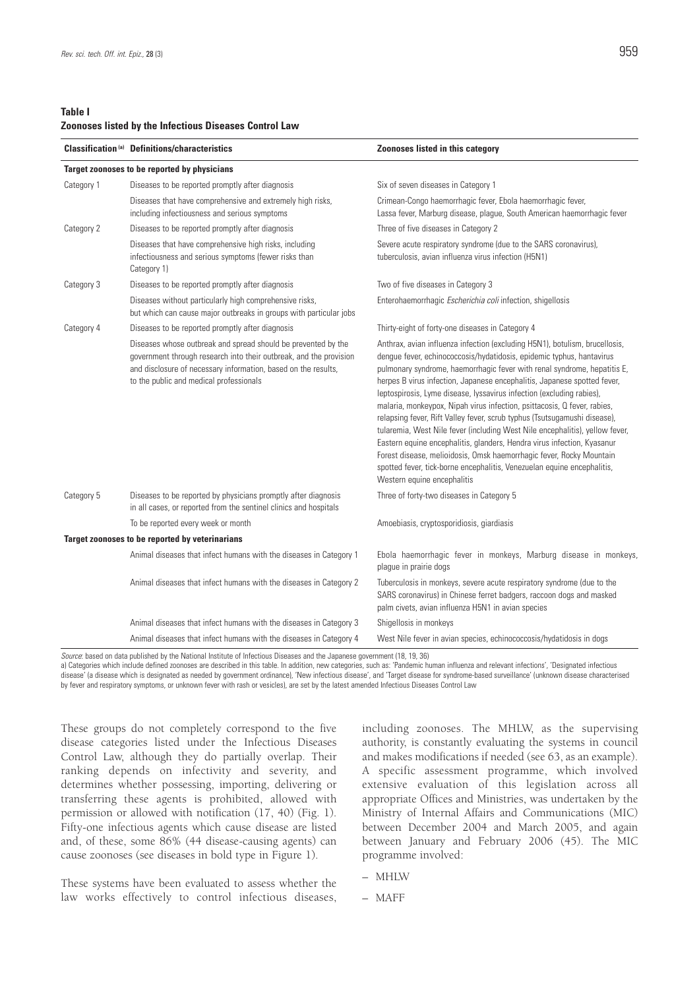### **Table I Zoonoses listed by the Infectious Diseases Control Law**

|            | <b>Classification (a)</b> Definitions/characteristics                                                                                                                                                                                            | <b>Zoonoses listed in this category</b>                                                                                                                                                                                                                                                                                                                                                                                                                                                                                                                                                                                                                                                                                                                                                                                                                                                     |
|------------|--------------------------------------------------------------------------------------------------------------------------------------------------------------------------------------------------------------------------------------------------|---------------------------------------------------------------------------------------------------------------------------------------------------------------------------------------------------------------------------------------------------------------------------------------------------------------------------------------------------------------------------------------------------------------------------------------------------------------------------------------------------------------------------------------------------------------------------------------------------------------------------------------------------------------------------------------------------------------------------------------------------------------------------------------------------------------------------------------------------------------------------------------------|
|            | Target zoonoses to be reported by physicians                                                                                                                                                                                                     |                                                                                                                                                                                                                                                                                                                                                                                                                                                                                                                                                                                                                                                                                                                                                                                                                                                                                             |
| Category 1 | Diseases to be reported promptly after diagnosis                                                                                                                                                                                                 | Six of seven diseases in Category 1                                                                                                                                                                                                                                                                                                                                                                                                                                                                                                                                                                                                                                                                                                                                                                                                                                                         |
|            | Diseases that have comprehensive and extremely high risks,<br>including infectiousness and serious symptoms                                                                                                                                      | Crimean-Congo haemorrhagic fever, Ebola haemorrhagic fever,<br>Lassa fever, Marburg disease, plague, South American haemorrhagic fever                                                                                                                                                                                                                                                                                                                                                                                                                                                                                                                                                                                                                                                                                                                                                      |
| Category 2 | Diseases to be reported promptly after diagnosis                                                                                                                                                                                                 | Three of five diseases in Category 2                                                                                                                                                                                                                                                                                                                                                                                                                                                                                                                                                                                                                                                                                                                                                                                                                                                        |
|            | Diseases that have comprehensive high risks, including<br>infectiousness and serious symptoms (fewer risks than<br>Category 1)                                                                                                                   | Severe acute respiratory syndrome (due to the SARS coronavirus),<br>tuberculosis, avian influenza virus infection (H5N1)                                                                                                                                                                                                                                                                                                                                                                                                                                                                                                                                                                                                                                                                                                                                                                    |
| Category 3 | Diseases to be reported promptly after diagnosis                                                                                                                                                                                                 | Two of five diseases in Category 3                                                                                                                                                                                                                                                                                                                                                                                                                                                                                                                                                                                                                                                                                                                                                                                                                                                          |
|            | Diseases without particularly high comprehensive risks,<br>but which can cause major outbreaks in groups with particular jobs                                                                                                                    | Enterohaemorrhagic Escherichia coli infection, shigellosis                                                                                                                                                                                                                                                                                                                                                                                                                                                                                                                                                                                                                                                                                                                                                                                                                                  |
| Category 4 | Diseases to be reported promptly after diagnosis                                                                                                                                                                                                 | Thirty-eight of forty-one diseases in Category 4                                                                                                                                                                                                                                                                                                                                                                                                                                                                                                                                                                                                                                                                                                                                                                                                                                            |
|            | Diseases whose outbreak and spread should be prevented by the<br>government through research into their outbreak, and the provision<br>and disclosure of necessary information, based on the results,<br>to the public and medical professionals | Anthrax, avian influenza infection (excluding H5N1), botulism, brucellosis,<br>dengue fever, echinococcosis/hydatidosis, epidemic typhus, hantavirus<br>pulmonary syndrome, haemorrhagic fever with renal syndrome, hepatitis E,<br>herpes B virus infection, Japanese encephalitis, Japanese spotted fever,<br>leptospirosis, Lyme disease, lyssavirus infection (excluding rabies),<br>malaria, monkeypox, Nipah virus infection, psittacosis, Q fever, rabies,<br>relapsing fever, Rift Valley fever, scrub typhus (Tsutsugamushi disease),<br>tularemia, West Nile fever (including West Nile encephalitis), yellow fever,<br>Eastern equine encephalitis, glanders, Hendra virus infection, Kyasanur<br>Forest disease, melioidosis, Omsk haemorrhagic fever, Rocky Mountain<br>spotted fever, tick-borne encephalitis, Venezuelan equine encephalitis,<br>Western equine encephalitis |
| Category 5 | Diseases to be reported by physicians promptly after diagnosis<br>in all cases, or reported from the sentinel clinics and hospitals                                                                                                              | Three of forty-two diseases in Category 5                                                                                                                                                                                                                                                                                                                                                                                                                                                                                                                                                                                                                                                                                                                                                                                                                                                   |
|            | To be reported every week or month                                                                                                                                                                                                               | Amoebiasis, cryptosporidiosis, giardiasis                                                                                                                                                                                                                                                                                                                                                                                                                                                                                                                                                                                                                                                                                                                                                                                                                                                   |
|            | Target zoonoses to be reported by veterinarians                                                                                                                                                                                                  |                                                                                                                                                                                                                                                                                                                                                                                                                                                                                                                                                                                                                                                                                                                                                                                                                                                                                             |
|            | Animal diseases that infect humans with the diseases in Category 1                                                                                                                                                                               | Ebola haemorrhagic fever in monkeys, Marburg disease in monkeys,<br>plague in prairie dogs                                                                                                                                                                                                                                                                                                                                                                                                                                                                                                                                                                                                                                                                                                                                                                                                  |
|            | Animal diseases that infect humans with the diseases in Category 2                                                                                                                                                                               | Tuberculosis in monkeys, severe acute respiratory syndrome (due to the<br>SARS coronavirus) in Chinese ferret badgers, raccoon dogs and masked<br>palm civets, avian influenza H5N1 in avian species                                                                                                                                                                                                                                                                                                                                                                                                                                                                                                                                                                                                                                                                                        |
|            | Animal diseases that infect humans with the diseases in Category 3                                                                                                                                                                               | Shigellosis in monkeys                                                                                                                                                                                                                                                                                                                                                                                                                                                                                                                                                                                                                                                                                                                                                                                                                                                                      |
|            | Animal diseases that infect humans with the diseases in Category 4                                                                                                                                                                               | West Nile fever in avian species, echinococcosis/hydatidosis in dogs                                                                                                                                                                                                                                                                                                                                                                                                                                                                                                                                                                                                                                                                                                                                                                                                                        |

*Source*: based on data published by the National Institute of Infectious Diseases and the Japanese government (18, 19, 36)

a) Categories which include defined zoonoses are described in this table. In addition, new categories, such as: 'Pandemic human influenza and relevant infections', 'Designated infectious disease' (a disease which is designated as needed by government ordinance), 'New infectious disease', and 'Target disease for syndrome-based surveillance' (unknown disease characterised by fever and respiratory symptoms, or unknown fever with rash or vesicles), are set by the latest amended Infectious Diseases Control Law

These groups do not completely correspond to the five disease categories listed under the Infectious Diseases Control Law, although they do partially overlap. Their ranking depends on infectivity and severity, and determines whether possessing, importing, delivering or transferring these agents is prohibited, allowed with permission or allowed with notification (17, 40) (Fig. 1). Fifty-one infectious agents which cause disease are listed and, of these, some 86% (44 disease-causing agents) can cause zoonoses (see diseases in bold type in Figure 1).

These systems have been evaluated to assess whether the law works effectively to control infectious diseases, including zoonoses. The MHLW, as the supervising authority, is constantly evaluating the systems in council and makes modifications if needed (see 63, as an example). A specific assessment programme, which involved extensive evaluation of this legislation across all appropriate Offices and Ministries, was undertaken by the Ministry of Internal Affairs and Communications (MIC) between December 2004 and March 2005, and again between January and February 2006 (45). The MIC programme involved:

- MHLW
- MAFF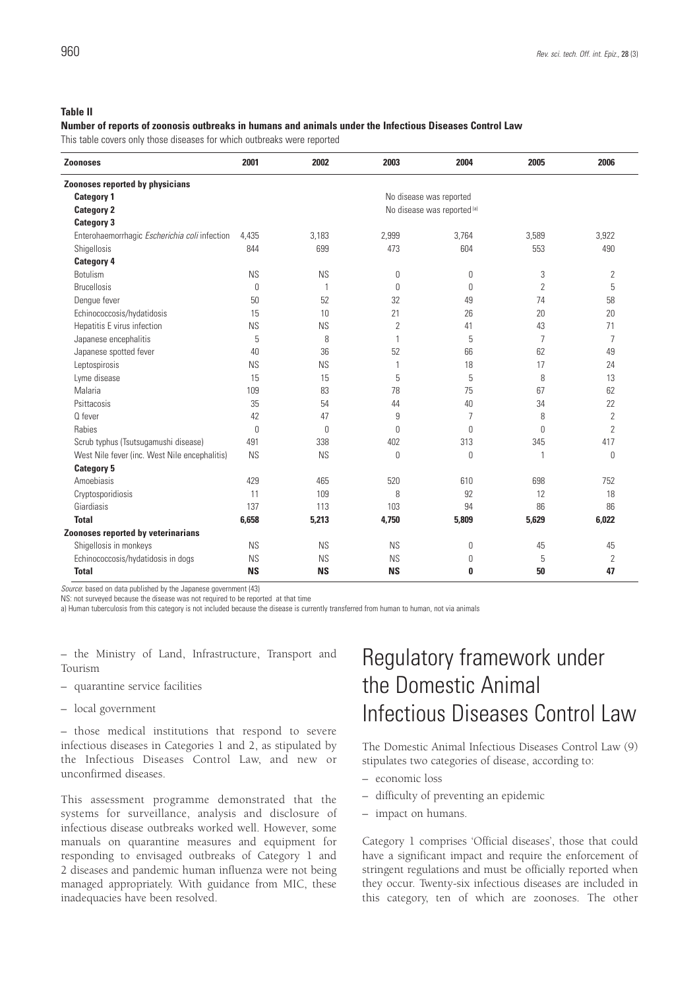## **Table II**

### **Number of reports of zoonosis outbreaks in humans and animals under the Infectious Diseases Control Law**

This table covers only those diseases for which outbreaks were reported

| <b>Zoonoses</b>                               | 2001      | 2002         | 2003           | 2004                        | 2005           | 2006           |
|-----------------------------------------------|-----------|--------------|----------------|-----------------------------|----------------|----------------|
| Zoonoses reported by physicians               |           |              |                |                             |                |                |
| <b>Category 1</b>                             |           |              |                | No disease was reported     |                |                |
| <b>Category 2</b>                             |           |              |                | No disease was reported (a) |                |                |
| <b>Category 3</b>                             |           |              |                |                             |                |                |
| Enterohaemorrhagic Escherichia coli infection | 4,435     | 3.183        | 2,999          | 3.764                       | 3,589          | 3,922          |
| Shigellosis                                   | 844       | 699          | 473            | 604                         | 553            | 490            |
| <b>Category 4</b>                             |           |              |                |                             |                |                |
| <b>Botulism</b>                               | <b>NS</b> | <b>NS</b>    | 0              | 0                           | 3              | 2              |
| <b>Brucellosis</b>                            | 0         | $\mathbf{1}$ | $\mathbf{0}$   | 0                           | $\overline{2}$ | 5              |
| Dengue fever                                  | 50        | 52           | 32             | 49                          | 74             | 58             |
| Echinococcosis/hydatidosis                    | 15        | 10           | 21             | 26                          | 20             | 20             |
| Hepatitis E virus infection                   | <b>NS</b> | <b>NS</b>    | $\overline{2}$ | 41                          | 43             | 71             |
| Japanese encephalitis                         | 5         | 8            | 1              | 5                           | $\overline{7}$ | $\overline{7}$ |
| Japanese spotted fever                        | 40        | 36           | 52             | 66                          | 62             | 49             |
| Leptospirosis                                 | <b>NS</b> | <b>NS</b>    | 1              | 18                          | 17             | 24             |
| Lyme disease                                  | 15        | 15           | 5              | 5                           | 8              | 13             |
| Malaria                                       | 109       | 83           | 78             | 75                          | 67             | 62             |
| Psittacosis                                   | 35        | 54           | 44             | 40                          | 34             | 22             |
| Q fever                                       | 42        | 47           | 9              | 7                           | 8              | 2              |
| Rabies                                        | $\theta$  | $\Omega$     | $\theta$       | $\theta$                    | $\theta$       | $\overline{2}$ |
| Scrub typhus (Tsutsugamushi disease)          | 491       | 338          | 402            | 313                         | 345            | 417            |
| West Nile fever (inc. West Nile encephalitis) | <b>NS</b> | <b>NS</b>    | 0              | 0                           | 1              | $\theta$       |
| <b>Category 5</b>                             |           |              |                |                             |                |                |
| Amoebiasis                                    | 429       | 465          | 520            | 610                         | 698            | 752            |
| Cryptosporidiosis                             | 11        | 109          | 8              | 92                          | 12             | 18             |
| Giardiasis                                    | 137       | 113          | 103            | 94                          | 86             | 86             |
| <b>Total</b>                                  | 6,658     | 5,213        | 4,750          | 5,809                       | 5,629          | 6,022          |
| Zoonoses reported by veterinarians            |           |              |                |                             |                |                |
| Shigellosis in monkeys                        | <b>NS</b> | <b>NS</b>    | <b>NS</b>      | $\theta$                    | 45             | 45             |
| Echinococcosis/hydatidosis in dogs            | <b>NS</b> | <b>NS</b>    | <b>NS</b>      | 0                           | 5              | 2              |
| <b>Total</b>                                  | <b>NS</b> | <b>NS</b>    | <b>NS</b>      | 0                           | 50             | 47             |

*Source*: based on data published by the Japanese government (43)

NS: not surveyed because the disease was not required to be reported at that time

a) Human tuberculosis from this category is not included because the disease is currently transferred from human to human, not via animals

– the Ministry of Land, Infrastructure, Transport and Tourism

- quarantine service facilities
- local government

– those medical institutions that respond to severe infectious diseases in Categories 1 and 2, as stipulated by the Infectious Diseases Control Law, and new or unconfirmed diseases.

This assessment programme demonstrated that the systems for surveillance, analysis and disclosure of infectious disease outbreaks worked well. However, some manuals on quarantine measures and equipment for responding to envisaged outbreaks of Category 1 and 2 diseases and pandemic human influenza were not being managed appropriately. With guidance from MIC, these inadequacies have been resolved.

## Regulatory framework under the Domestic Animal Infectious Diseases Control Law

The Domestic Animal Infectious Diseases Control Law (9) stipulates two categories of disease, according to:

- economic loss
- difficulty of preventing an epidemic
- impact on humans.

Category 1 comprises 'Official diseases', those that could have a significant impact and require the enforcement of stringent regulations and must be officially reported when they occur. Twenty-six infectious diseases are included in this category, ten of which are zoonoses. The other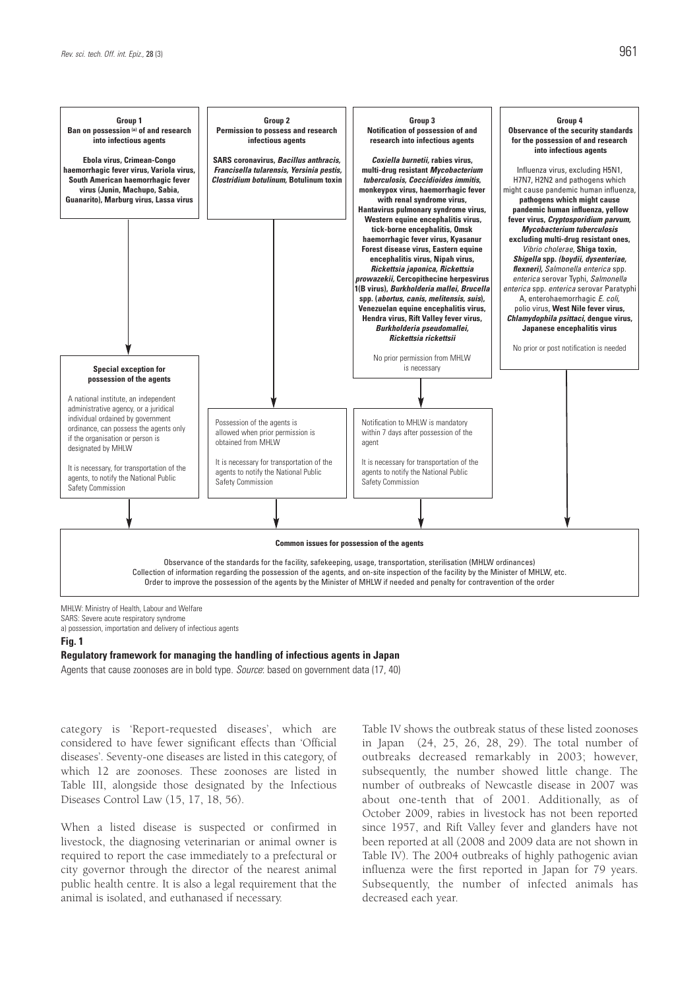

MHLW: Ministry of Health, Labour and Welfare SARS: Severe acute respiratory syndrome a) possession, importation and delivery of infectious agents

#### **Fig. 1**

**Regulatory framework for managing the handling of infectious agents in Japan**

Agents that cause zoonoses are in bold type. *Source*: based on government data (17, 40)

category is 'Report-requested diseases', which are considered to have fewer significant effects than 'Official diseases'. Seventy-one diseases are listed in this category, of which 12 are zoonoses. These zoonoses are listed in Table III, alongside those designated by the Infectious Diseases Control Law (15, 17, 18, 56).

When a listed disease is suspected or confirmed in livestock, the diagnosing veterinarian or animal owner is required to report the case immediately to a prefectural or city governor through the director of the nearest animal public health centre. It is also a legal requirement that the animal is isolated, and euthanased if necessary.

Table IV shows the outbreak status of these listed zoonoses in Japan (24, 25, 26, 28, 29). The total number of outbreaks decreased remarkably in 2003; however, subsequently, the number showed little change. The number of outbreaks of Newcastle disease in 2007 was about one-tenth that of 2001. Additionally, as of October 2009, rabies in livestock has not been reported since 1957, and Rift Valley fever and glanders have not been reported at all (2008 and 2009 data are not shown in Table IV). The 2004 outbreaks of highly pathogenic avian influenza were the first reported in Japan for 79 years. Subsequently, the number of infected animals has decreased each year.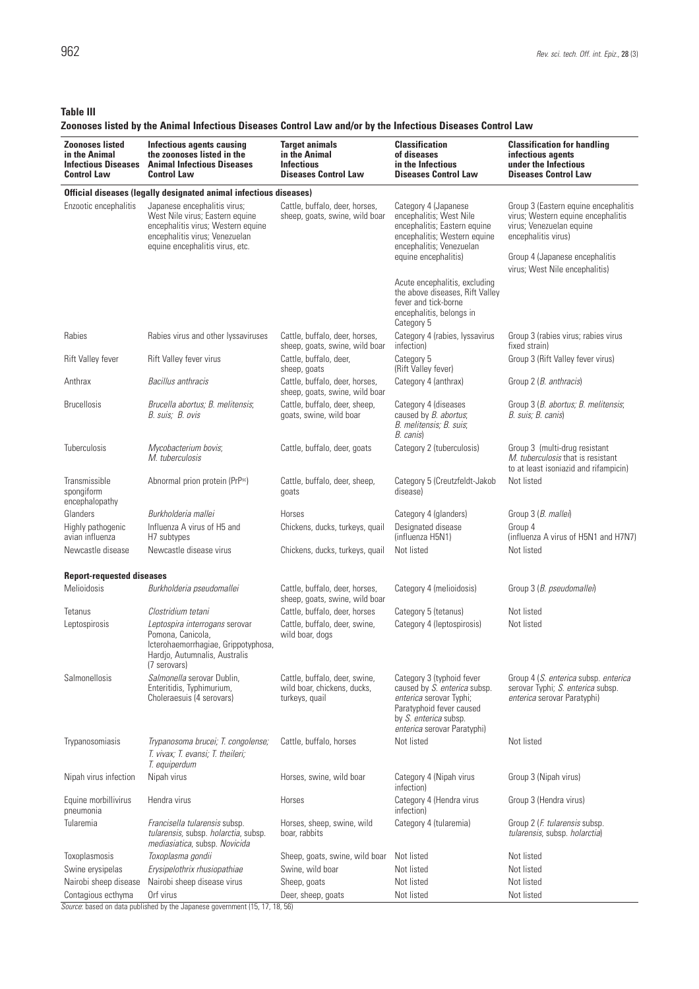**Table III**

## **Zoonoses listed by the Animal Infectious Diseases Control Law and/or by the Infectious Diseases Control Law**

| <b>Zoonoses listed</b><br>in the Animal<br><b>Infectious Diseases</b><br><b>Control Law</b> | <b>Infectious agents causing</b><br>the zoonoses listed in the<br><b>Animal Infectious Diseases</b><br><b>Control Law</b>                                                  | <b>Target animals</b><br>in the Animal<br><b>Infectious</b><br><b>Diseases Control Law</b> | <b>Classification</b><br>of diseases<br>in the Infectious<br><b>Diseases Control Law</b>                                                                                 | <b>Classification for handling</b><br>infectious agents<br>under the Infectious<br><b>Diseases Control Law</b>                                                                                    |  |  |  |  |
|---------------------------------------------------------------------------------------------|----------------------------------------------------------------------------------------------------------------------------------------------------------------------------|--------------------------------------------------------------------------------------------|--------------------------------------------------------------------------------------------------------------------------------------------------------------------------|---------------------------------------------------------------------------------------------------------------------------------------------------------------------------------------------------|--|--|--|--|
| Official diseases (legally designated animal infectious diseases)                           |                                                                                                                                                                            |                                                                                            |                                                                                                                                                                          |                                                                                                                                                                                                   |  |  |  |  |
| Enzootic encephalitis                                                                       | Japanese encephalitis virus;<br>West Nile virus; Eastern equine<br>encephalitis virus; Western equine<br>encephalitis virus; Venezuelan<br>equine encephalitis virus, etc. | Cattle, buffalo, deer, horses,<br>sheep, goats, swine, wild boar                           | Category 4 (Japanese<br>encephalitis; West Nile<br>encephalitis; Eastern equine<br>encephalitis; Western equine<br>encephalitis; Venezuelan<br>equine encephalitis)      | Group 3 (Eastern equine encephalitis<br>virus; Western equine encephalitis<br>virus; Venezuelan equine<br>encephalitis virus)<br>Group 4 (Japanese encephalitis<br>virus; West Nile encephalitis) |  |  |  |  |
|                                                                                             |                                                                                                                                                                            |                                                                                            | Acute encephalitis, excluding<br>the above diseases, Rift Valley<br>fever and tick-borne<br>encephalitis, belongs in<br>Category 5                                       |                                                                                                                                                                                                   |  |  |  |  |
| Rabies                                                                                      | Rabies virus and other lyssaviruses                                                                                                                                        | Cattle, buffalo, deer, horses,<br>sheep, goats, swine, wild boar                           | Category 4 (rabies, lyssavirus<br>infection)                                                                                                                             | Group 3 (rabies virus; rabies virus<br>fixed strain)                                                                                                                                              |  |  |  |  |
| Rift Valley fever                                                                           | Rift Valley fever virus                                                                                                                                                    | Cattle, buffalo, deer,<br>sheep, goats                                                     | Category 5<br>(Rift Valley fever)                                                                                                                                        | Group 3 (Rift Valley fever virus)                                                                                                                                                                 |  |  |  |  |
| Anthrax                                                                                     | Bacillus anthracis                                                                                                                                                         | Cattle, buffalo, deer, horses,<br>sheep, goats, swine, wild boar                           | Category 4 (anthrax)                                                                                                                                                     | Group 2 (B. anthracis)                                                                                                                                                                            |  |  |  |  |
| <b>Brucellosis</b>                                                                          | Brucella abortus: B. melitensis:<br>B. suis; B. ovis                                                                                                                       | Cattle, buffalo, deer, sheep,<br>goats, swine, wild boar                                   | Category 4 (diseases<br>caused by <i>B. abortus</i> ;<br>B. melitensis; B. suis;<br>B. canis)                                                                            | Group 3 (B. abortus; B. melitensis;<br>B. suis: B. canis)                                                                                                                                         |  |  |  |  |
| <b>Tuberculosis</b>                                                                         | Mycobacterium bovis:<br>M. tuberculosis                                                                                                                                    | Cattle, buffalo, deer, goats                                                               | Category 2 (tuberculosis)                                                                                                                                                | Group 3 (multi-drug resistant<br>M. tuberculosis that is resistant<br>to at least isoniazid and rifampicin)                                                                                       |  |  |  |  |
| Transmissible<br>spongiform<br>encephalopathy                                               | Abnormal prion protein (PrPsc)                                                                                                                                             | Cattle, buffalo, deer, sheep,<br>goats                                                     | Category 5 (Creutzfeldt-Jakob<br>disease)                                                                                                                                | Not listed                                                                                                                                                                                        |  |  |  |  |
| Glanders                                                                                    | Burkholderia mallei                                                                                                                                                        | Horses                                                                                     | Category 4 (glanders)                                                                                                                                                    | Group 3 (B. mallei)                                                                                                                                                                               |  |  |  |  |
| Highly pathogenic<br>avian influenza                                                        | Influenza A virus of H5 and<br>H7 subtypes                                                                                                                                 | Chickens, ducks, turkeys, quail                                                            | Designated disease<br>(influenza H5N1)                                                                                                                                   | Group 4<br>(influenza A virus of H5N1 and H7N7)                                                                                                                                                   |  |  |  |  |
| Newcastle disease                                                                           | Newcastle disease virus                                                                                                                                                    | Chickens, ducks, turkeys, quail                                                            | Not listed                                                                                                                                                               | Not listed                                                                                                                                                                                        |  |  |  |  |
| <b>Report-requested diseases</b>                                                            |                                                                                                                                                                            |                                                                                            |                                                                                                                                                                          |                                                                                                                                                                                                   |  |  |  |  |
| Melioidosis                                                                                 | Burkholderia pseudomallei                                                                                                                                                  | Cattle, buffalo, deer, horses,<br>sheep, goats, swine, wild boar                           | Category 4 (melioidosis)                                                                                                                                                 | Group 3 (B. pseudomallei)                                                                                                                                                                         |  |  |  |  |
| Tetanus                                                                                     | Clostridium tetani                                                                                                                                                         | Cattle, buffalo, deer, horses                                                              | Category 5 (tetanus)                                                                                                                                                     | Not listed                                                                                                                                                                                        |  |  |  |  |
| Leptospirosis                                                                               | Leptospira interrogans serovar<br>Pomona, Canicola,<br>Icterohaemorrhagiae, Grippotyphosa,<br>Hardjo, Autumnalis, Australis<br>(7 serovars)                                | Cattle, buffalo, deer, swine,<br>wild boar, dogs                                           | Category 4 (leptospirosis)                                                                                                                                               | Not listed                                                                                                                                                                                        |  |  |  |  |
| Salmonellosis                                                                               | Salmonella serovar Dublin,<br>Enteritidis, Typhimurium,<br>Choleraesuis (4 serovars)                                                                                       | Cattle, buffalo, deer, swine,<br>wild boar, chickens, ducks,<br>turkeys, quail             | Category 3 (typhoid fever<br>caused by S. enterica subsp.<br>enterica serovar Typhi;<br>Paratyphoid fever caused<br>by S. enterica subsp.<br>enterica serovar Paratyphi) | Group 4 (S. enterica subsp. enterica<br>serovar Typhi; S. enterica subsp.<br>enterica serovar Paratyphi)                                                                                          |  |  |  |  |
| Trypanosomiasis                                                                             | Trypanosoma brucei; T. congolense;<br>T. vivax; T. evansi; T. theileri;<br>T. equiperdum                                                                                   | Cattle, buffalo, horses                                                                    | Not listed                                                                                                                                                               | Not listed                                                                                                                                                                                        |  |  |  |  |
| Nipah virus infection                                                                       | Nipah virus                                                                                                                                                                | Horses, swine, wild boar                                                                   | Category 4 (Nipah virus<br>infection)                                                                                                                                    | Group 3 (Nipah virus)                                                                                                                                                                             |  |  |  |  |
| Equine morbillivirus<br>pneumonia                                                           | Hendra virus                                                                                                                                                               | Horses                                                                                     | Category 4 (Hendra virus<br>infection)                                                                                                                                   | Group 3 (Hendra virus)                                                                                                                                                                            |  |  |  |  |
| Tularemia                                                                                   | Francisella tularensis subsp.<br>tularensis, subsp. holarctia, subsp.<br>mediasiatica, subsp. Novicida                                                                     | Horses, sheep, swine, wild<br>boar, rabbits                                                | Category 4 (tularemia)                                                                                                                                                   | Group 2 ( <i>F. tularensis</i> subsp.<br>tularensis, subsp. holarctia)                                                                                                                            |  |  |  |  |
| Toxoplasmosis                                                                               | Toxoplasma gondii                                                                                                                                                          | Sheep, goats, swine, wild boar                                                             | Not listed                                                                                                                                                               | Not listed                                                                                                                                                                                        |  |  |  |  |
| Swine erysipelas                                                                            | Erysipelothrix rhusiopathiae                                                                                                                                               | Swine, wild boar                                                                           | Not listed                                                                                                                                                               | Not listed                                                                                                                                                                                        |  |  |  |  |
| Nairobi sheep disease                                                                       | Nairobi sheep disease virus                                                                                                                                                | Sheep, goats                                                                               | Not listed                                                                                                                                                               | Not listed                                                                                                                                                                                        |  |  |  |  |
| Contagious ecthyma                                                                          | Orf virus                                                                                                                                                                  | Deer, sheep, goats                                                                         | Not listed                                                                                                                                                               | Not listed                                                                                                                                                                                        |  |  |  |  |

*Source*: based on data published by the Japanese government (15, 17, 18, 56)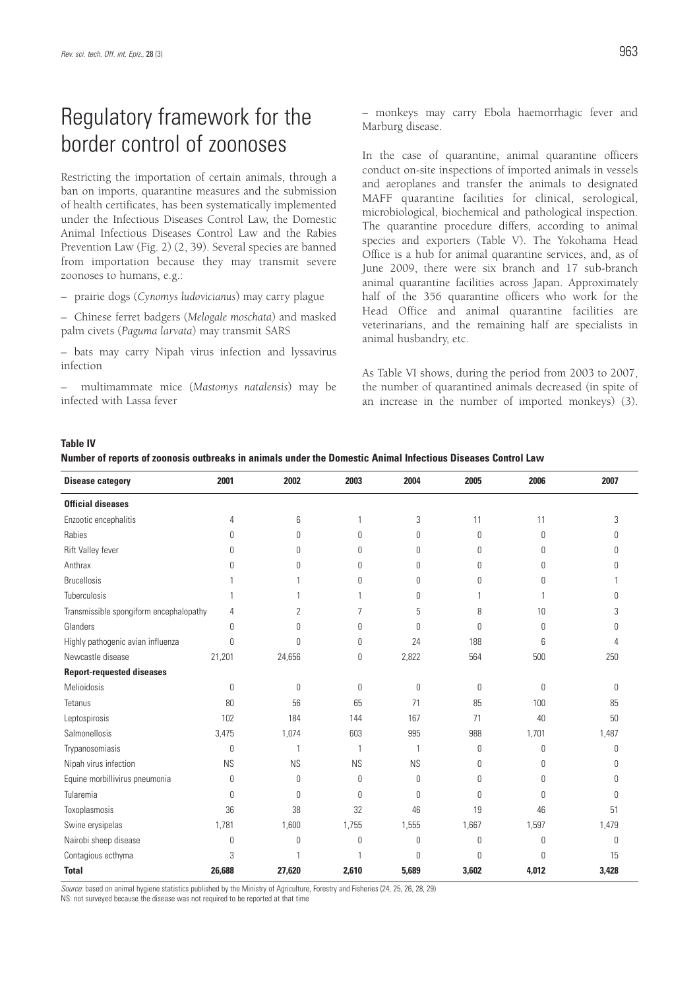## Regulatory framework for the border control of zoonoses

Restricting the importation of certain animals, through a ban on imports, quarantine measures and the submission of health certificates, has been systematically implemented under the Infectious Diseases Control Law, the Domestic Animal Infectious Diseases Control Law and the Rabies Prevention Law (Fig. 2) (2, 39). Several species are banned from importation because they may transmit severe zoonoses to humans, e.g.:

– prairie dogs (*Cynomys ludovicianus*) may carry plague

– Chinese ferret badgers (*Melogale moschata*) and masked palm civets (*Paguma larvata*) may transmit SARS

– bats may carry Nipah virus infection and lyssavirus infection

– multimammate mice (*Mastomys natalensis*) may be infected with Lassa fever

– monkeys may carry Ebola haemorrhagic fever and Marburg disease.

In the case of quarantine, animal quarantine officers conduct on-site inspections of imported animals in vessels and aeroplanes and transfer the animals to designated MAFF quarantine facilities for clinical, serological, microbiological, biochemical and pathological inspection. The quarantine procedure differs, according to animal species and exporters (Table V). The Yokohama Head Office is a hub for animal quarantine services, and, as of June 2009, there were six branch and 17 sub-branch animal quarantine facilities across Japan. Approximately half of the 356 quarantine officers who work for the Head Office and animal quarantine facilities are veterinarians, and the remaining half are specialists in animal husbandry, etc.

As Table VI shows, during the period from 2003 to 2007, the number of quarantined animals decreased (in spite of an increase in the number of imported monkeys) (3).

### **Table IV**

**Number of reports of zoonosis outbreaks in animals under the Domestic Animal Infectious Diseases Control Law**

| <b>Disease category</b>                 | 2001      | 2002           | 2003         | 2004             | 2005  | 2006        | 2007  |
|-----------------------------------------|-----------|----------------|--------------|------------------|-------|-------------|-------|
| <b>Official diseases</b>                |           |                |              |                  |       |             |       |
| Enzootic encephalitis                   | 4         | 6              | 1            | 3                | 11    | 11          | 3     |
| Rabies                                  | 0         | 0              | 0            | $\boldsymbol{0}$ | 0     | $\mathbb O$ | 0     |
| Rift Valley fever                       | 0         | $\Omega$       | $\Omega$     | 0                | 0     | 0           | 0     |
| Anthrax                                 | 0         | $\Omega$       | $\theta$     | 0                | 0     | 0           | U     |
| <b>Brucellosis</b>                      |           |                | $\cup$       | 0                | 0     | 0           |       |
| Tuberculosis                            |           |                |              | $\mathbf{0}$     |       |             | 0     |
| Transmissible spongiform encephalopathy | 4         | $\overline{2}$ | 7            | 5                | 8     | 10          | 3     |
| Glanders                                | 0         | 0              | $\theta$     | $\theta$         | 0     | 0           | 0     |
| Highly pathogenic avian influenza       | 0         | $\Omega$       | $\theta$     | 24               | 188   | 6           | 4     |
| Newcastle disease                       | 21,201    | 24,656         | 0            | 2,822            | 564   | 500         | 250   |
| <b>Report-requested diseases</b>        |           |                |              |                  |       |             |       |
| Melioidosis                             | 0         | 0              | $\theta$     | $\mathbb O$      | 0     | 0           | 0     |
| Tetanus                                 | 80        | 56             | 65           | 71               | 85    | 100         | 85    |
| Leptospirosis                           | 102       | 184            | 144          | 167              | 71    | 40          | 50    |
| Salmonellosis                           | 3,475     | 1,074          | 603          | 995              | 988   | 1,701       | 1,487 |
| Trypanosomiasis                         | 0         | $\mathbf{1}$   | $\mathbf{1}$ | $\overline{1}$   | 0     | $\mathbb O$ | 0     |
| Nipah virus infection                   | <b>NS</b> | <b>NS</b>      | <b>NS</b>    | <b>NS</b>        | 0     | 0           | 0     |
| Equine morbillivirus pneumonia          | 0         | $\Omega$       | $\theta$     | 0                | 0     | $\Omega$    | 0     |
| Tularemia                               | 0         | $\Omega$       | $\Omega$     | $\mathbf{0}$     | 0     | $\Omega$    | 0     |
| Toxoplasmosis                           | 36        | 38             | 32           | 46               | 19    | 46          | 51    |
| Swine erysipelas                        | 1,781     | 1,600          | 1,755        | 1,555            | 1,667 | 1,597       | 1,479 |
| Nairobi sheep disease                   | 0         | $\Omega$       | 0            | $\mathbf{0}$     | 0     | 0           | 0     |
| Contagious ecthyma                      | 3         | $\mathbf{1}$   | 1            | $\theta$         | 0     | 0           | 15    |
| <b>Total</b>                            | 26,688    | 27,620         | 2,610        | 5,689            | 3,602 | 4,012       | 3,428 |

*Source*: based on animal hygiene statistics published by the Ministry of Agriculture, Forestry and Fisheries (24, 25, 26, 28, 29) NS: not surveyed because the disease was not required to be reported at that time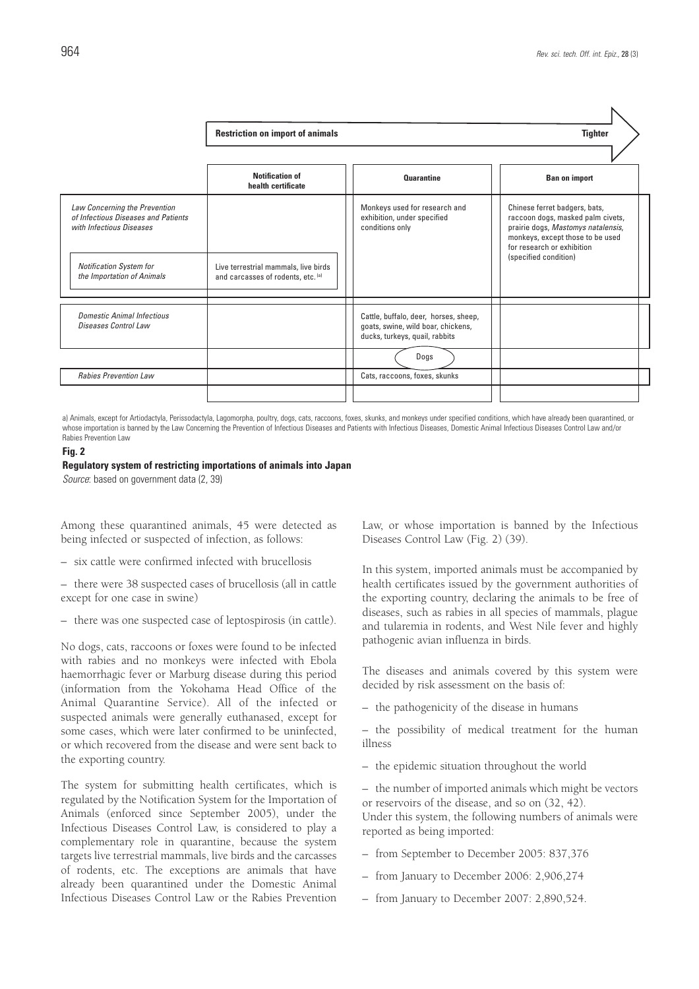|                                                                                                  | <b>Restriction on import of animals</b>                                    |                                                                                                               | <b>Tighter</b>                                                                                                                                                             |  |
|--------------------------------------------------------------------------------------------------|----------------------------------------------------------------------------|---------------------------------------------------------------------------------------------------------------|----------------------------------------------------------------------------------------------------------------------------------------------------------------------------|--|
|                                                                                                  |                                                                            |                                                                                                               |                                                                                                                                                                            |  |
|                                                                                                  | Notification of<br>health certificate                                      | <b>Quarantine</b>                                                                                             | <b>Ban on import</b>                                                                                                                                                       |  |
| Law Concerning the Prevention<br>of Infectious Diseases and Patients<br>with Infectious Diseases |                                                                            | Monkeys used for research and<br>exhibition, under specified<br>conditions only                               | Chinese ferret badgers, bats,<br>raccoon dogs, masked palm civets,<br>prairie dogs, Mastomys natalensis,<br>monkeys, except those to be used<br>for research or exhibition |  |
| <b>Notification System for</b><br>the Importation of Animals                                     | Live terrestrial mammals, live birds<br>and carcasses of rodents, etc. (a) |                                                                                                               | (specified condition)                                                                                                                                                      |  |
| <b>Domestic Animal Infectious</b><br>Diseases Control Law                                        |                                                                            | Cattle, buffalo, deer, horses, sheep,<br>goats, swine, wild boar, chickens,<br>ducks, turkeys, quail, rabbits |                                                                                                                                                                            |  |
|                                                                                                  |                                                                            | Dogs                                                                                                          |                                                                                                                                                                            |  |
| <b>Rabies Prevention Law</b>                                                                     |                                                                            | Cats, raccoons, foxes, skunks                                                                                 |                                                                                                                                                                            |  |
|                                                                                                  |                                                                            |                                                                                                               |                                                                                                                                                                            |  |

a) Animals, except for Artiodactyla, Perissodactyla, Lagomorpha, poultry, dogs, cats, raccoons, foxes, skunks, and monkeys under specified conditions, which have already been quarantined, or whose importation is banned by the Law Concerning the Prevention of Infectious Diseases and Patients with Infectious Diseases, Domestic Animal Infectious Diseases Control Law and/or Rabies Prevention Law

### **Fig. 2**

### **Regulatory system of restricting importations of animals into Japan**

*Source*: based on government data (2, 39)

Among these quarantined animals, 45 were detected as being infected or suspected of infection, as follows:

– six cattle were confirmed infected with brucellosis

– there were 38 suspected cases of brucellosis (all in cattle except for one case in swine)

– there was one suspected case of leptospirosis (in cattle).

No dogs, cats, raccoons or foxes were found to be infected with rabies and no monkeys were infected with Ebola haemorrhagic fever or Marburg disease during this period (information from the Yokohama Head Office of the Animal Quarantine Service). All of the infected or suspected animals were generally euthanased, except for some cases, which were later confirmed to be uninfected, or which recovered from the disease and were sent back to the exporting country.

The system for submitting health certificates, which is regulated by the Notification System for the Importation of Animals (enforced since September 2005), under the Infectious Diseases Control Law, is considered to play a complementary role in quarantine, because the system targets live terrestrial mammals, live birds and the carcasses of rodents, etc. The exceptions are animals that have already been quarantined under the Domestic Animal Infectious Diseases Control Law or the Rabies Prevention Law, or whose importation is banned by the Infectious Diseases Control Law (Fig. 2) (39).

In this system, imported animals must be accompanied by health certificates issued by the government authorities of the exporting country, declaring the animals to be free of diseases, such as rabies in all species of mammals, plague and tularemia in rodents, and West Nile fever and highly pathogenic avian influenza in birds.

The diseases and animals covered by this system were decided by risk assessment on the basis of:

– the pathogenicity of the disease in humans

– the possibility of medical treatment for the human illness

– the epidemic situation throughout the world

– the number of imported animals which might be vectors or reservoirs of the disease, and so on (32, 42). Under this system, the following numbers of animals were reported as being imported:

- from September to December 2005: 837,376
- from January to December 2006: 2,906,274
- from January to December 2007: 2,890,524.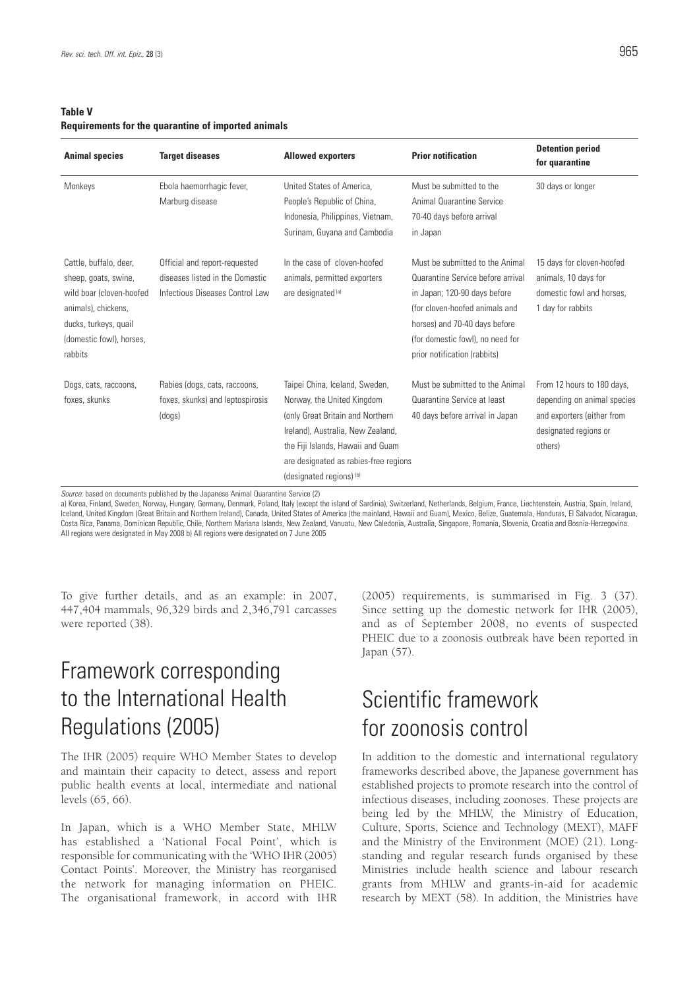## **Table V Requirements for the quarantine of imported animals**

| <b>Animal species</b>                                                                                                                                             | <b>Target diseases</b>                                                                                                                                                                                                                                                                                                                                                                                                                                                                                                                                               | <b>Allowed exporters</b>                                                                                                                                                                                                                         | <b>Prior notification</b>                                                                                                                                                                                                                   | <b>Detention period</b><br>for quarantine                                                                                   |
|-------------------------------------------------------------------------------------------------------------------------------------------------------------------|----------------------------------------------------------------------------------------------------------------------------------------------------------------------------------------------------------------------------------------------------------------------------------------------------------------------------------------------------------------------------------------------------------------------------------------------------------------------------------------------------------------------------------------------------------------------|--------------------------------------------------------------------------------------------------------------------------------------------------------------------------------------------------------------------------------------------------|---------------------------------------------------------------------------------------------------------------------------------------------------------------------------------------------------------------------------------------------|-----------------------------------------------------------------------------------------------------------------------------|
| Monkeys                                                                                                                                                           | Ebola haemorrhagic fever,<br>Marburg disease                                                                                                                                                                                                                                                                                                                                                                                                                                                                                                                         | United States of America.<br>People's Republic of China,<br>Indonesia, Philippines, Vietnam,<br>Surinam, Guyana and Cambodia                                                                                                                     | Must be submitted to the<br><b>Animal Quarantine Service</b><br>70-40 days before arrival<br>in Japan                                                                                                                                       | 30 days or longer                                                                                                           |
| Cattle, buffalo, deer,<br>sheep, goats, swine,<br>wild boar (cloven-hoofed<br>animals), chickens,<br>ducks, turkeys, quail<br>(domestic fowl), horses,<br>rabbits | Official and report-requested<br>diseases listed in the Domestic<br>Infectious Diseases Control Law                                                                                                                                                                                                                                                                                                                                                                                                                                                                  | In the case of cloven-hoofed<br>animals, permitted exporters<br>are designated (a)                                                                                                                                                               | Must be submitted to the Animal<br>Quarantine Service before arrival<br>in Japan; 120-90 days before<br>(for cloven-hoofed animals and<br>horses) and 70-40 days before<br>(for domestic fowl), no need for<br>prior notification (rabbits) | 15 days for cloven-hoofed<br>animals, 10 days for<br>domestic fowl and horses,<br>1 day for rabbits                         |
| Dogs, cats, raccoons,<br>foxes, skunks                                                                                                                            | Rabies (dogs, cats, raccoons,<br>foxes, skunks) and leptospirosis<br>(dogs)<br>$\mathbf{A} \cdot \mathbf{A} \cdot \mathbf{A} \cdot \mathbf{A} \cdot \mathbf{A} \cdot \mathbf{A} \cdot \mathbf{A} \cdot \mathbf{A} \cdot \mathbf{A} \cdot \mathbf{A} \cdot \mathbf{A} \cdot \mathbf{A} \cdot \mathbf{A} \cdot \mathbf{A} \cdot \mathbf{A} \cdot \mathbf{A} \cdot \mathbf{A} \cdot \mathbf{A} \cdot \mathbf{A} \cdot \mathbf{A} \cdot \mathbf{A} \cdot \mathbf{A} \cdot \mathbf{A} \cdot \mathbf{A} \cdot \mathbf{A} \cdot \mathbf{A} \cdot \mathbf{A} \cdot \mathbf{$ | Taipei China, Iceland, Sweden,<br>Norway, the United Kingdom<br>(only Great Britain and Northern)<br>Ireland), Australia, New Zealand,<br>the Fiji Islands, Hawaii and Guam<br>are designated as rabies-free regions<br>(designated regions) (b) | Must be submitted to the Animal<br>Quarantine Service at least<br>40 days before arrival in Japan                                                                                                                                           | From 12 hours to 180 days,<br>depending on animal species<br>and exporters (either from<br>designated regions or<br>others) |

*Source*: based on documents published by the Japanese Animal Quarantine Service (2)

a) Korea, Finland, Sweden, Norway, Hungary, Germany, Denmark, Poland, Italy (except the island of Sardinia), Switzerland, Netherlands, Belgium, France, Liechtenstein, Austria, Spain, Ireland, Iceland, United Kingdom (Great Britain and Northern Ireland), Canada, United States of America (the mainland, Hawaii and Guam), Mexico, Belize, Guatemala, Honduras, El Salvador, Nicaragua, Costa Rica, Panama, Dominican Republic, Chile, Northern Mariana Islands, New Zealand, Vanuatu, New Caledonia, Australia, Singapore, Romania, Slovenia, Croatia and Bosnia-Herzegovina. All regions were designated in May 2008 b) All regions were designated on 7 June 2005

To give further details, and as an example: in 2007, 447,404 mammals, 96,329 birds and 2,346,791 carcasses were reported (38).

## Framework corresponding to the International Health Regulations (2005)

The IHR (2005) require WHO Member States to develop and maintain their capacity to detect, assess and report public health events at local, intermediate and national levels (65, 66).

In Japan, which is a WHO Member State, MHLW has established a 'National Focal Point', which is responsible for communicating with the 'WHO IHR (2005) Contact Points'. Moreover, the Ministry has reorganised the network for managing information on PHEIC. The organisational framework, in accord with IHR

(2005) requirements, is summarised in Fig. 3 (37). Since setting up the domestic network for IHR (2005), and as of September 2008, no events of suspected PHEIC due to a zoonosis outbreak have been reported in Japan (57).

## Scientific framework for zoonosis control

In addition to the domestic and international regulatory frameworks described above, the Japanese government has established projects to promote research into the control of infectious diseases, including zoonoses. These projects are being led by the MHLW, the Ministry of Education, Culture, Sports, Science and Technology (MEXT), MAFF and the Ministry of the Environment (MOE) (21). Longstanding and regular research funds organised by these Ministries include health science and labour research grants from MHLW and grants-in-aid for academic research by MEXT (58). In addition, the Ministries have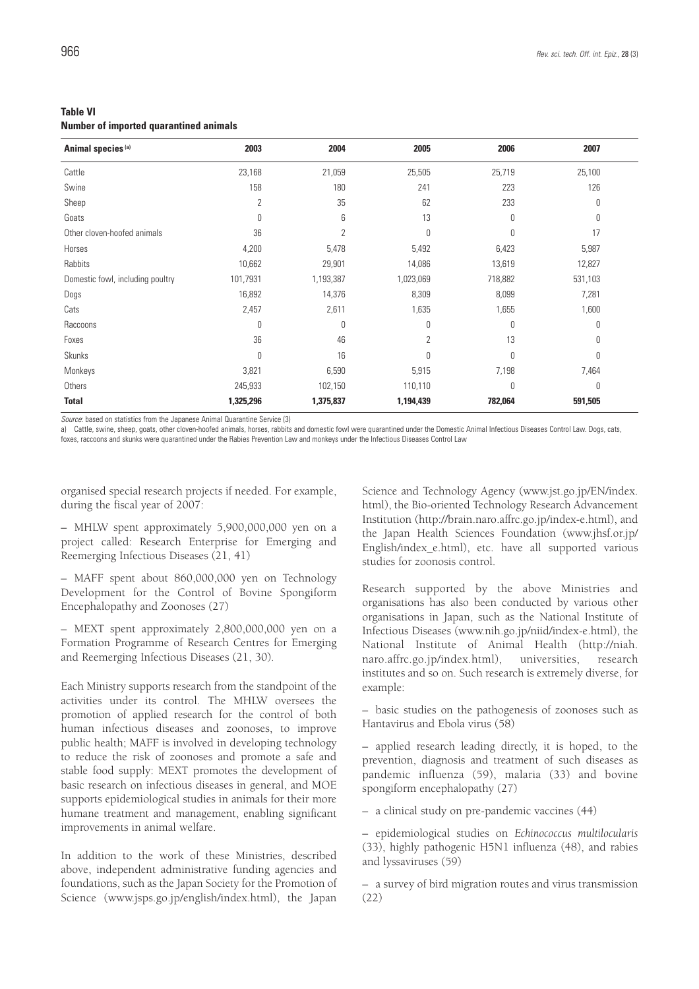| <b>Table VI</b> |                                               |  |
|-----------------|-----------------------------------------------|--|
|                 | <b>Number of imported quarantined animals</b> |  |

| Animal species <sup>(a)</sup>    | 2003           | 2004           | 2005      | 2006    | 2007    |
|----------------------------------|----------------|----------------|-----------|---------|---------|
| Cattle                           | 23,168         | 21,059         | 25,505    | 25,719  | 25,100  |
| Swine                            | 158            | 180            | 241       | 223     | 126     |
| Sheep                            | $\overline{2}$ | 35             | 62        | 233     | 0       |
| Goats                            | 0              | 6              | 13        | 0       | 0       |
| Other cloven-hoofed animals      | 36             | $\overline{2}$ | 0         | 0       | 17      |
| Horses                           | 4,200          | 5,478          | 5,492     | 6,423   | 5,987   |
| Rabbits                          | 10,662         | 29,901         | 14,086    | 13,619  | 12,827  |
| Domestic fowl, including poultry | 101,7931       | 1,193,387      | 1,023,069 | 718,882 | 531,103 |
| Dogs                             | 16,892         | 14,376         | 8,309     | 8,099   | 7,281   |
| Cats                             | 2,457          | 2,611          | 1,635     | 1,655   | 1,600   |
| Raccoons                         | 0              | 0              | 0         | 0       | 0       |
| Foxes                            | 36             | 46             | 2         | 13      | 0       |
| Skunks                           | 0              | 16             | 0         | 0       | 0       |
| Monkeys                          | 3,821          | 6,590          | 5,915     | 7,198   | 7,464   |
| Others                           | 245,933        | 102,150        | 110,110   | 0       | 0       |
| Total                            | 1,325,296      | 1,375,837      | 1,194,439 | 782,064 | 591,505 |

*Source*: based on statistics from the Japanese Animal Quarantine Service (3)

a) Cattle, swine, sheep, goats, other cloven-hoofed animals, horses, rabbits and domestic fowl were quarantined under the Domestic Animal Infectious Diseases Control Law. Dogs, cats, foxes, raccoons and skunks were quarantined under the Rabies Prevention Law and monkeys under the Infectious Diseases Control Law

organised special research projects if needed. For example, during the fiscal year of 2007:

– MHLW spent approximately 5,900,000,000 yen on a project called: Research Enterprise for Emerging and Reemerging Infectious Diseases (21, 41)

– MAFF spent about 860,000,000 yen on Technology Development for the Control of Bovine Spongiform Encephalopathy and Zoonoses (27)

– MEXT spent approximately 2,800,000,000 yen on a Formation Programme of Research Centres for Emerging and Reemerging Infectious Diseases (21, 30).

Each Ministry supports research from the standpoint of the activities under its control. The MHLW oversees the promotion of applied research for the control of both human infectious diseases and zoonoses, to improve public health; MAFF is involved in developing technology to reduce the risk of zoonoses and promote a safe and stable food supply: MEXT promotes the development of basic research on infectious diseases in general, and MOE supports epidemiological studies in animals for their more humane treatment and management, enabling significant improvements in animal welfare.

In addition to the work of these Ministries, described above, independent administrative funding agencies and foundations, such as the Japan Society for the Promotion of Science (www.jsps.go.jp/english/index.html), the Japan

Science and Technology Agency (www.jst.go.jp/EN/index. html), the Bio-oriented Technology Research Advancement Institution (http://brain.naro.affrc.go.jp/index-e.html), and the Japan Health Sciences Foundation (www.jhsf.or.jp/ English/index\_e.html), etc. have all supported various studies for zoonosis control.

Research supported by the above Ministries and organisations has also been conducted by various other organisations in Japan, such as the National Institute of Infectious Diseases (www.nih.go.jp/niid/index-e.html), the National Institute of Animal Health (http://niah. naro.affrc.go.jp/index.html), universities, research institutes and so on. Such research is extremely diverse, for example:

– basic studies on the pathogenesis of zoonoses such as Hantavirus and Ebola virus (58)

– applied research leading directly, it is hoped, to the prevention, diagnosis and treatment of such diseases as pandemic influenza (59), malaria (33) and bovine spongiform encephalopathy (27)

– a clinical study on pre-pandemic vaccines (44)

– epidemiological studies on *Echinococcus multilocularis* (33), highly pathogenic H5N1 influenza (48), and rabies and lyssaviruses (59)

– a survey of bird migration routes and virus transmission (22)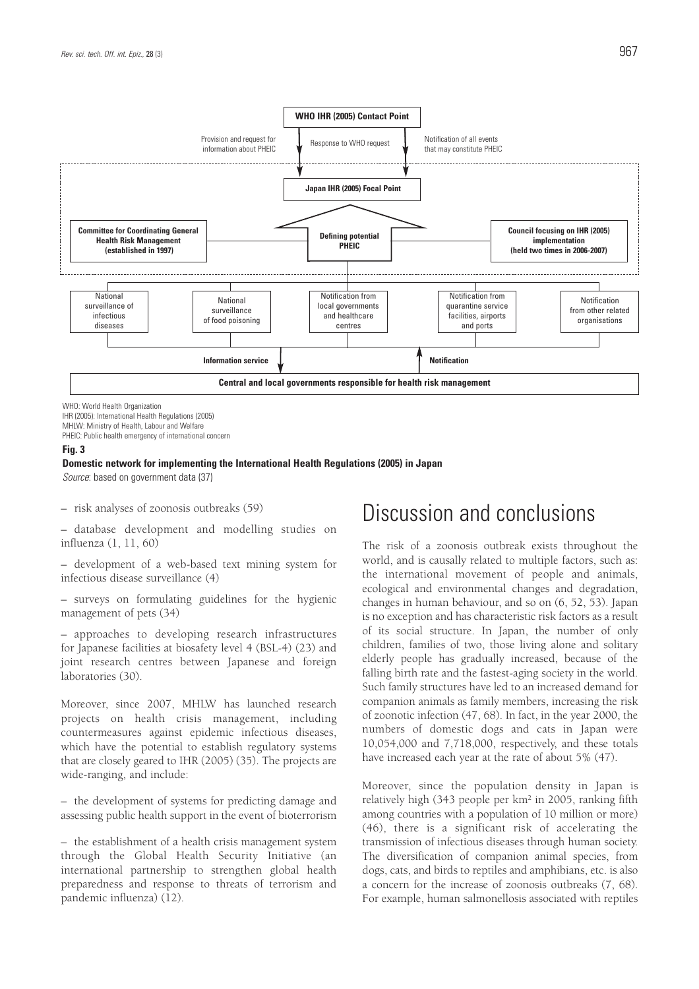

WHO: World Health Organization

IHR (2005): International Health Regulations (2005) MHLW: Ministry of Health, Labour and Welfare PHEIC: Public health emergency of international concern

#### **Fig. 3**

### **Domestic network for implementing the International Health Regulations (2005) in Japan**

*Source*: based on government data (37)

– risk analyses of zoonosis outbreaks (59)

– database development and modelling studies on influenza (1, 11, 60)

– development of a web-based text mining system for infectious disease surveillance (4)

– surveys on formulating guidelines for the hygienic management of pets (34)

– approaches to developing research infrastructures for Japanese facilities at biosafety level 4 (BSL-4) (23) and joint research centres between Japanese and foreign laboratories (30).

Moreover, since 2007, MHLW has launched research projects on health crisis management, including countermeasures against epidemic infectious diseases, which have the potential to establish regulatory systems that are closely geared to IHR (2005) (35). The projects are wide-ranging, and include:

– the development of systems for predicting damage and assessing public health support in the event of bioterrorism

– the establishment of a health crisis management system through the Global Health Security Initiative (an international partnership to strengthen global health preparedness and response to threats of terrorism and pandemic influenza) (12).

## Discussion and conclusions

The risk of a zoonosis outbreak exists throughout the world, and is causally related to multiple factors, such as: the international movement of people and animals, ecological and environmental changes and degradation, changes in human behaviour, and so on (6, 52, 53). Japan is no exception and has characteristic risk factors as a result of its social structure. In Japan, the number of only children, families of two, those living alone and solitary elderly people has gradually increased, because of the falling birth rate and the fastest-aging society in the world. Such family structures have led to an increased demand for companion animals as family members, increasing the risk of zoonotic infection (47, 68). In fact, in the year 2000, the numbers of domestic dogs and cats in Japan were 10,054,000 and 7,718,000, respectively, and these totals have increased each year at the rate of about 5% (47).

Moreover, since the population density in Japan is relatively high (343 people per km2 in 2005, ranking fifth among countries with a population of 10 million or more) (46), there is a significant risk of accelerating the transmission of infectious diseases through human society. The diversification of companion animal species, from dogs, cats, and birds to reptiles and amphibians, etc. is also a concern for the increase of zoonosis outbreaks (7, 68). For example, human salmonellosis associated with reptiles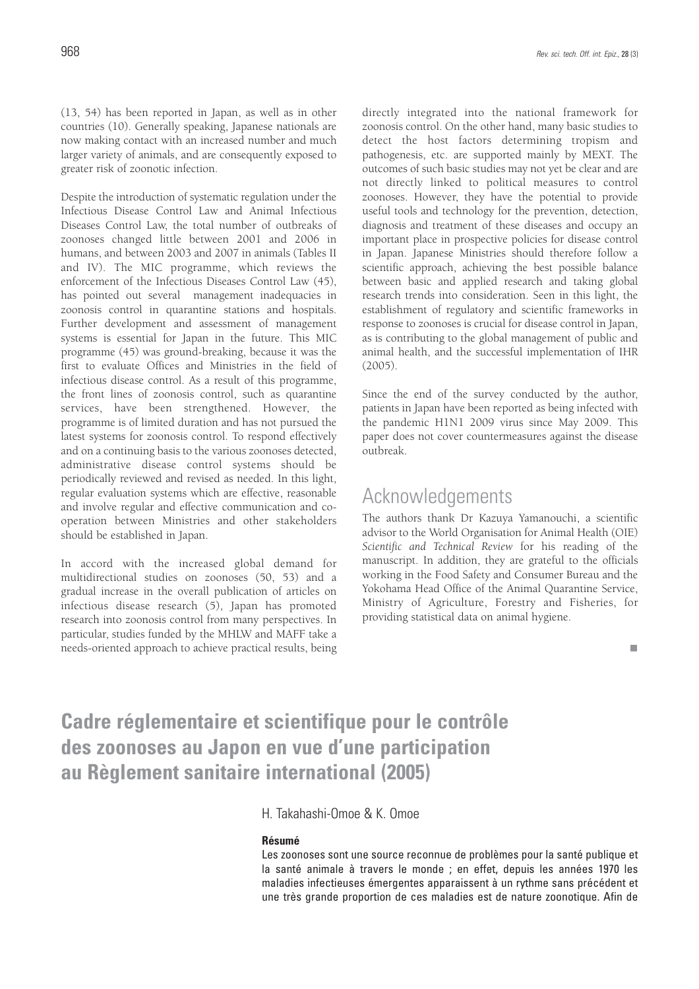(13, 54) has been reported in Japan, as well as in other countries (10). Generally speaking, Japanese nationals are now making contact with an increased number and much larger variety of animals, and are consequently exposed to greater risk of zoonotic infection.

Despite the introduction of systematic regulation under the Infectious Disease Control Law and Animal Infectious Diseases Control Law, the total number of outbreaks of zoonoses changed little between 2001 and 2006 in humans, and between 2003 and 2007 in animals (Tables II and IV). The MIC programme, which reviews the enforcement of the Infectious Diseases Control Law (45), has pointed out several management inadequacies in zoonosis control in quarantine stations and hospitals. Further development and assessment of management systems is essential for Japan in the future. This MIC programme (45) was ground-breaking, because it was the first to evaluate Offices and Ministries in the field of infectious disease control. As a result of this programme, the front lines of zoonosis control, such as quarantine services, have been strengthened. However, the programme is of limited duration and has not pursued the latest systems for zoonosis control. To respond effectively and on a continuing basis to the various zoonoses detected, administrative disease control systems should be periodically reviewed and revised as needed. In this light, regular evaluation systems which are effective, reasonable and involve regular and effective communication and cooperation between Ministries and other stakeholders should be established in Japan.

In accord with the increased global demand for multidirectional studies on zoonoses (50, 53) and a gradual increase in the overall publication of articles on infectious disease research (5), Japan has promoted research into zoonosis control from many perspectives. In particular, studies funded by the MHLW and MAFF take a needs-oriented approach to achieve practical results, being directly integrated into the national framework for zoonosis control. On the other hand, many basic studies to detect the host factors determining tropism and pathogenesis, etc. are supported mainly by MEXT. The outcomes of such basic studies may not yet be clear and are not directly linked to political measures to control zoonoses. However, they have the potential to provide useful tools and technology for the prevention, detection, diagnosis and treatment of these diseases and occupy an important place in prospective policies for disease control in Japan. Japanese Ministries should therefore follow a scientific approach, achieving the best possible balance between basic and applied research and taking global research trends into consideration. Seen in this light, the establishment of regulatory and scientific frameworks in response to zoonoses is crucial for disease control in Japan, as is contributing to the global management of public and animal health, and the successful implementation of IHR (2005).

Since the end of the survey conducted by the author, patients in Japan have been reported as being infected with the pandemic H1N1 2009 virus since May 2009. This paper does not cover countermeasures against the disease outbreak.

## Acknowledgements

The authors thank Dr Kazuya Yamanouchi, a scientific advisor to the World Organisation for Animal Health (OIE) *Scientific and Technical Review* for his reading of the manuscript. In addition, they are grateful to the officials working in the Food Safety and Consumer Bureau and the Yokohama Head Office of the Animal Quarantine Service, Ministry of Agriculture, Forestry and Fisheries, for providing statistical data on animal hygiene.

## **Cadre réglementaire et scientifique pour le contrôle des zoonoses au Japon en vue d'une participation au Règlement sanitaire international (2005)**

## H. Takahashi-Omoe & K. Omoe

## **Résumé**

Les zoonoses sont une source reconnue de problèmes pour la santé publique et la santé animale à travers le monde ; en effet, depuis les années 1970 les maladies infectieuses émergentes apparaissent à un rythme sans précédent et une très grande proportion de ces maladies est de nature zoonotique. Afin de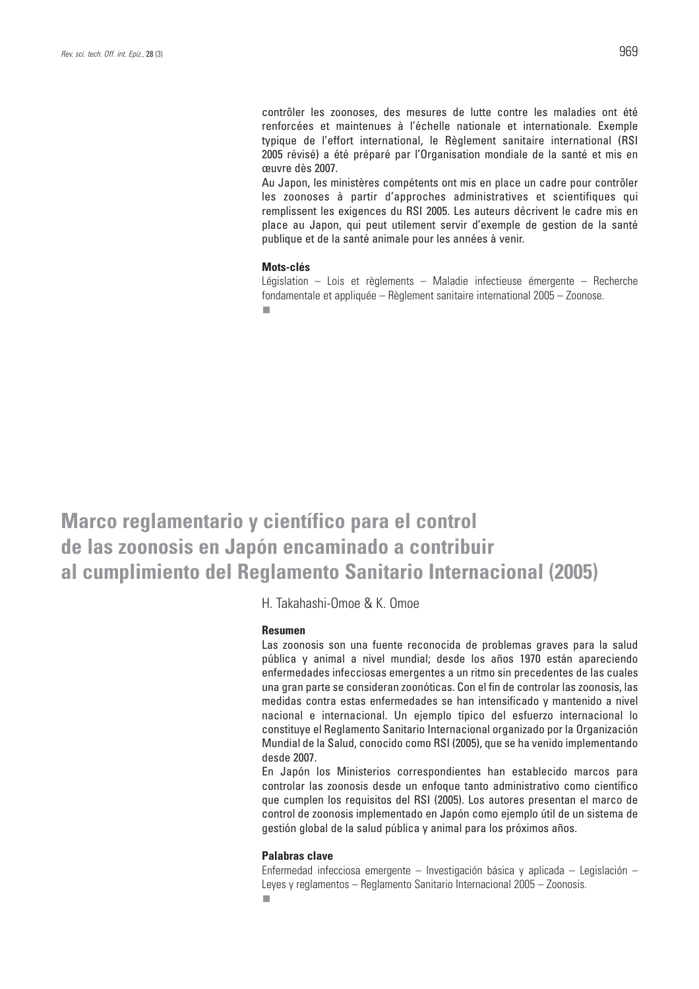contrôler les zoonoses, des mesures de lutte contre les maladies ont été renforcées et maintenues à l'échelle nationale et internationale. Exemple typique de l'effort international, le Règlement sanitaire international (RSI 2005 révisé) a été préparé par l'Organisation mondiale de la santé et mis en œuvre dès 2007.

Au Japon, les ministères compétents ont mis en place un cadre pour contrôler les zoonoses à partir d'approches administratives et scientifiques qui remplissent les exigences du RSI 2005. Les auteurs décrivent le cadre mis en place au Japon, qui peut utilement servir d'exemple de gestion de la santé publique et de la santé animale pour les années à venir.

### **Mots-clés**

Législation – Lois et règlements – Maladie infectieuse émergente – Recherche fondamentale et appliquée – Règlement sanitaire international 2005 – Zoonose.

**Marco reglamentario y científico para el control de las zoonosis en Japón encaminado a contribuir al cumplimiento del Reglamento Sanitario Internacional (2005)** 

H. Takahashi-Omoe & K. Omoe

### **Resumen**

Las zoonosis son una fuente reconocida de problemas graves para la salud pública y animal a nivel mundial; desde los años 1970 están apareciendo enfermedades infecciosas emergentes a un ritmo sin precedentes de las cuales una gran parte se consideran zoonóticas. Con el fin de controlar las zoonosis, las medidas contra estas enfermedades se han intensificado y mantenido a nivel nacional e internacional. Un ejemplo típico del esfuerzo internacional lo constituye el Reglamento Sanitario Internacional organizado por la Organización Mundial de la Salud, conocido como RSI (2005), que se ha venido implementando desde 2007.

En Japón los Ministerios correspondientes han establecido marcos para controlar las zoonosis desde un enfoque tanto administrativo como científico que cumplen los requisitos del RSI (2005). Los autores presentan el marco de control de zoonosis implementado en Japón como ejemplo útil de un sistema de gestión global de la salud pública y animal para los próximos años.

### **Palabras clave**

Enfermedad infecciosa emergente – Investigación básica y aplicada – Legislación – Leyes y reglamentos – Reglamento Sanitario Internacional 2005 – Zoonosis.  $\blacksquare$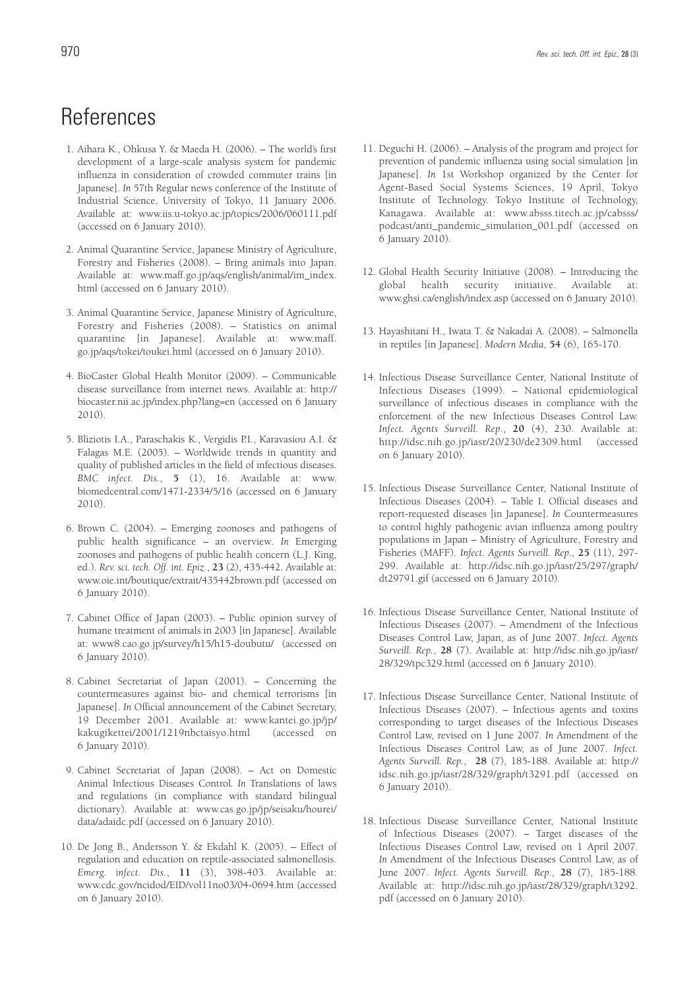## References

- 1. Aihara K., Ohkusa Y. & Maeda H. (2006). The world's first development of a large-scale analysis system for pandemic influenza in consideration of crowded commuter trains [in Japanese]*. In* 57th Regular news conference of the Institute of Industrial Science, University of Tokyo, 11 January 2006. Available at: www.iis.u-tokyo.ac.jp/topics/2006/060111.pdf (accessed on 6 January 2010).
- 2. Animal Quarantine Service, Japanese Ministry of Agriculture, Forestry and Fisheries (2008). – Bring animals into Japan. Available at: www.maff.go.jp/aqs/english/animal/im\_index. html (accessed on 6 January 2010).
- 3. Animal Quarantine Service, Japanese Ministry of Agriculture, Forestry and Fisheries (2008). – Statistics on animal quarantine [in Japanese]. Available at: www.maff. go.jp/aqs/tokei/toukei.html (accessed on 6 January 2010).
- 4. BioCaster Global Health Monitor (2009). Communicable disease surveillance from internet news. Available at: http:// biocaster.nii.ac.jp/index.php?lang=en (accessed on 6 January 2010).
- 5. Bliziotis I.A., Paraschakis K., Vergidis P.I., Karavasiou A.I. & Falagas M.E. (2005). – Worldwide trends in quantity and quality of published articles in the field of infectious diseases. *BMC infect. Dis.*, **5** (1), 16. Available at: www. biomedcentral.com/1471-2334/5/16 (accessed on 6 January 2010).
- 6. Brown C. (2004). Emerging zoonoses and pathogens of public health significance – an overview*. In* Emerging zoonoses and pathogens of public health concern (L.J. King, ed.). *Rev. sci. tech. Off. int. Epiz.*, **23** (2), 435-442. Available at: www.oie.int/boutique/extrait/435442brown.pdf (accessed on 6 January 2010).
- 7. Cabinet Office of Japan (2003). Public opinion survey of humane treatment of animals in 2003 [in Japanese]. Available at: www8.cao.go.jp/survey/h15/h15-doubutu/ (accessed on 6 January 2010).
- 8. Cabinet Secretariat of Japan (2001). Concerning the countermeasures against bio- and chemical terrorisms [in Japanese]. *In* Official announcement of the Cabinet Secretary, 19 December 2001. Available at: www.kantei.go.jp/jp/ kakugikettei/2001/1219nbctaisyo.html (accessed on 6 January 2010).
- 9. Cabinet Secretariat of Japan (2008). Act on Domestic Animal Infectious Diseases Control*. In* Translations of laws and regulations (in compliance with standard bilingual dictionary). Available at: www.cas.go.jp/jp/seisaku/hourei/ data/adaidc.pdf (accessed on 6 January 2010).
- 10. De Jong B., Andersson Y. & Ekdahl K. (2005). Effect of regulation and education on reptile-associated salmonellosis. *Emerg. infect. Dis.*, **11** (3), 398-403. Available at: www.cdc.gov/ncidod/EID/vol11no03/04-0694.htm (accessed on 6 January 2010).
- 11. Deguchi H. (2006). Analysis of the program and project for prevention of pandemic influenza using social simulation [in Japanese]. *In* 1st Workshop organized by the Center for Agent-Based Social Systems Sciences, 19 April, Tokyo Institute of Technology. Tokyo Institute of Technology, Kanagawa. Available at: www.absss.titech.ac.jp/cabsss/ podcast/anti\_pandemic\_simulation\_001.pdf (accessed on 6 January 2010).
- 12. Global Health Security Initiative (2008). Introducing the global health security initiative. Available at: www.ghsi.ca/english/index.asp (accessed on 6 January 2010).
- 13. Hayashitani H., Iwata T. & Nakadai A. (2008). Salmonella in reptiles [in Japanese]. *Modern Media*, **54** (6), 165-170.
- 14. Infectious Disease Surveillance Center, National Institute of Infectious Diseases (1999). – National epidemiological surveillance of infectious diseases in compliance with the enforcement of the new Infectious Diseases Control Law. *Infect. Agents Surveill. Rep.*, **20** (4), 230. Available at: http://idsc.nih.go.jp/iasr/20/230/de2309.html (accessed on 6 January 2010).
- 15. Infectious Disease Surveillance Center, National Institute of Infectious Diseases (2004). – Table I. Official diseases and report-requested diseases [in Japanese]. *In* Countermeasures to control highly pathogenic avian influenza among poultry populations in Japan – Ministry of Agriculture, Forestry and Fisheries (MAFF). *Infect. Agents Surveill. Rep.*, **25** (11), 297- 299. Available at: http://idsc.nih.go.jp/iasr/25/297/graph/ dt29791.gif (accessed on 6 January 2010).
- 16. Infectious Disease Surveillance Center, National Institute of Infectious Diseases (2007). – Amendment of the Infectious Diseases Control Law, Japan, as of June 2007. *Infect. Agents Surveill. Rep.*, **28** (7). Available at: http://idsc.nih.go.jp/iasr/ 28/329/tpc329.html (accessed on 6 January 2010).
- 17. Infectious Disease Surveillance Center, National Institute of Infectious Diseases (2007). – Infectious agents and toxins corresponding to target diseases of the Infectious Diseases Control Law, revised on 1 June 2007*. In* Amendment of the Infectious Diseases Control Law, as of June 2007. *Infect. Agents Surveill. Rep.*, **28** (7), 185-188. Available at: http:// idsc.nih.go.jp/iasr/28/329/graph/t3291.pdf (accessed on 6 January 2010).
- 18. Infectious Disease Surveillance Center, National Institute of Infectious Diseases (2007). – Target diseases of the Infectious Diseases Control Law, revised on 1 April 2007*. In* Amendment of the Infectious Diseases Control Law, as of June 2007. *Infect. Agents Surveill. Rep.*, **28** (7), 185-188. Available at: http://idsc.nih.go.jp/iasr/28/329/graph/t3292. pdf (accessed on 6 January 2010).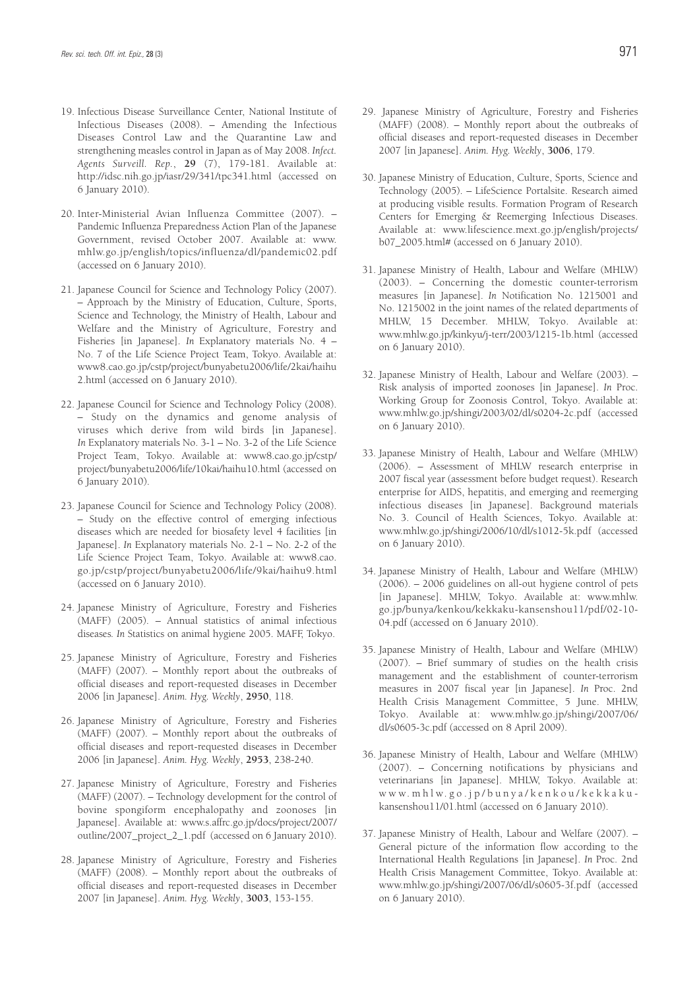- 19. Infectious Disease Surveillance Center, National Institute of Infectious Diseases (2008). – Amending the Infectious Diseases Control Law and the Quarantine Law and strengthening measles control in Japan as of May 2008. *Infect. Agents Surveill. Rep.*, **29** (7), 179-181. Available at: http://idsc.nih.go.jp/iasr/29/341/tpc341.html (accessed on 6 January 2010).
- 20. Inter-Ministerial Avian Influenza Committee (2007). Pandemic Influenza Preparedness Action Plan of the Japanese Government, revised October 2007. Available at: www. mhlw.go.jp/english/topics/influenza/dl/pandemic02.pdf (accessed on 6 January 2010).
- 21. Japanese Council for Science and Technology Policy (2007). – Approach by the Ministry of Education, Culture, Sports, Science and Technology, the Ministry of Health, Labour and Welfare and the Ministry of Agriculture, Forestry and Fisheries [in Japanese]. *In* Explanatory materials No. 4 – No. 7 of the Life Science Project Team, Tokyo. Available at: www8.cao.go.jp/cstp/project/bunyabetu2006/life/2kai/haihu 2.html (accessed on 6 January 2010).
- 22. Japanese Council for Science and Technology Policy (2008). – Study on the dynamics and genome analysis of viruses which derive from wild birds [in Japanese]. *In* Explanatory materials No. 3-1 – No. 3-2 of the Life Science Project Team, Tokyo. Available at: www8.cao.go.jp/cstp/ project/bunyabetu2006/life/10kai/haihu10.html (accessed on 6 January 2010).
- 23. Japanese Council for Science and Technology Policy (2008). – Study on the effective control of emerging infectious diseases which are needed for biosafety level 4 facilities [in Japanese]. *In* Explanatory materials No. 2-1 – No. 2-2 of the Life Science Project Team, Tokyo. Available at: www8.cao. go.jp/cstp/project/bunyabetu2006/life/9kai/haihu9.html (accessed on 6 January 2010).
- 24. Japanese Ministry of Agriculture, Forestry and Fisheries (MAFF) (2005). – Annual statistics of animal infectious diseases*. In* Statistics on animal hygiene 2005. MAFF, Tokyo.
- 25. Japanese Ministry of Agriculture, Forestry and Fisheries (MAFF) (2007). – Monthly report about the outbreaks of official diseases and report-requested diseases in December 2006 [in Japanese]. *Anim. Hyg. Weekly*, **2950**, 118.
- 26. Japanese Ministry of Agriculture, Forestry and Fisheries (MAFF) (2007). – Monthly report about the outbreaks of official diseases and report-requested diseases in December 2006 [in Japanese]. *Anim. Hyg. Weekly*, **2953**, 238-240.
- 27. Japanese Ministry of Agriculture, Forestry and Fisheries (MAFF) (2007). – Technology development for the control of bovine spongiform encephalopathy and zoonoses [in Japanese]. Available at: www.s.affrc.go.jp/docs/project/2007/ outline/2007\_project\_2\_1.pdf (accessed on 6 January 2010).
- 28. Japanese Ministry of Agriculture, Forestry and Fisheries (MAFF) (2008). – Monthly report about the outbreaks of official diseases and report-requested diseases in December 2007 [in Japanese]. *Anim. Hyg. Weekly*, **3003**, 153-155.
- 29. Japanese Ministry of Agriculture, Forestry and Fisheries (MAFF) (2008). – Monthly report about the outbreaks of official diseases and report-requested diseases in December 2007 [in Japanese]. *Anim. Hyg. Weekly*, **3006**, 179.
- 30. Japanese Ministry of Education, Culture, Sports, Science and Technology (2005). – LifeScience Portalsite. Research aimed at producing visible results. Formation Program of Research Centers for Emerging & Reemerging Infectious Diseases. Available at: www.lifescience.mext.go.jp/english/projects/ b07\_2005.html# (accessed on 6 January 2010).
- 31. Japanese Ministry of Health, Labour and Welfare (MHLW) (2003). – Concerning the domestic counter-terrorism measures [in Japanese]. *In* Notification No. 1215001 and No. 1215002 in the joint names of the related departments of MHLW, 15 December. MHLW, Tokyo. Available at: www.mhlw.go.jp/kinkyu/j-terr/2003/1215-1b.html (accessed on 6 January 2010).
- 32. Japanese Ministry of Health, Labour and Welfare (2003). Risk analysis of imported zoonoses [in Japanese]. *In* Proc. Working Group for Zoonosis Control, Tokyo. Available at: www.mhlw.go.jp/shingi/2003/02/dl/s0204-2c.pdf (accessed on 6 January 2010).
- 33. Japanese Ministry of Health, Labour and Welfare (MHLW) (2006). – Assessment of MHLW research enterprise in 2007 fiscal year (assessment before budget request). Research enterprise for AIDS, hepatitis, and emerging and reemerging infectious diseases [in Japanese]. Background materials No. 3. Council of Health Sciences, Tokyo. Available at: www.mhlw.go.jp/shingi/2006/10/dl/s1012-5k.pdf (accessed on 6 January 2010).
- 34. Japanese Ministry of Health, Labour and Welfare (MHLW) (2006). – 2006 guidelines on all-out hygiene control of pets [in Japanese]. MHLW, Tokyo. Available at: www.mhlw. go.jp/bunya/kenkou/kekkaku-kansenshou11/pdf/02-10- 04.pdf (accessed on 6 January 2010).
- 35. Japanese Ministry of Health, Labour and Welfare (MHLW) (2007). – Brief summary of studies on the health crisis management and the establishment of counter-terrorism measures in 2007 fiscal year [in Japanese]. *In* Proc. 2nd Health Crisis Management Committee, 5 June. MHLW, Tokyo. Available at: www.mhlw.go.jp/shingi/2007/06/ dl/s0605-3c.pdf (accessed on 8 April 2009).
- 36. Japanese Ministry of Health, Labour and Welfare (MHLW) (2007). – Concerning notifications by physicians and veterinarians [in Japanese]. MHLW, Tokyo. Available at: www.mhlw.go.jp/bunya/kenkou/kekkakukansenshou11/01.html (accessed on 6 January 2010).
- 37. Japanese Ministry of Health, Labour and Welfare (2007). General picture of the information flow according to the International Health Regulations [in Japanese]. *In* Proc. 2nd Health Crisis Management Committee, Tokyo. Available at: www.mhlw.go.jp/shingi/2007/06/dl/s0605-3f.pdf (accessed on 6 January 2010).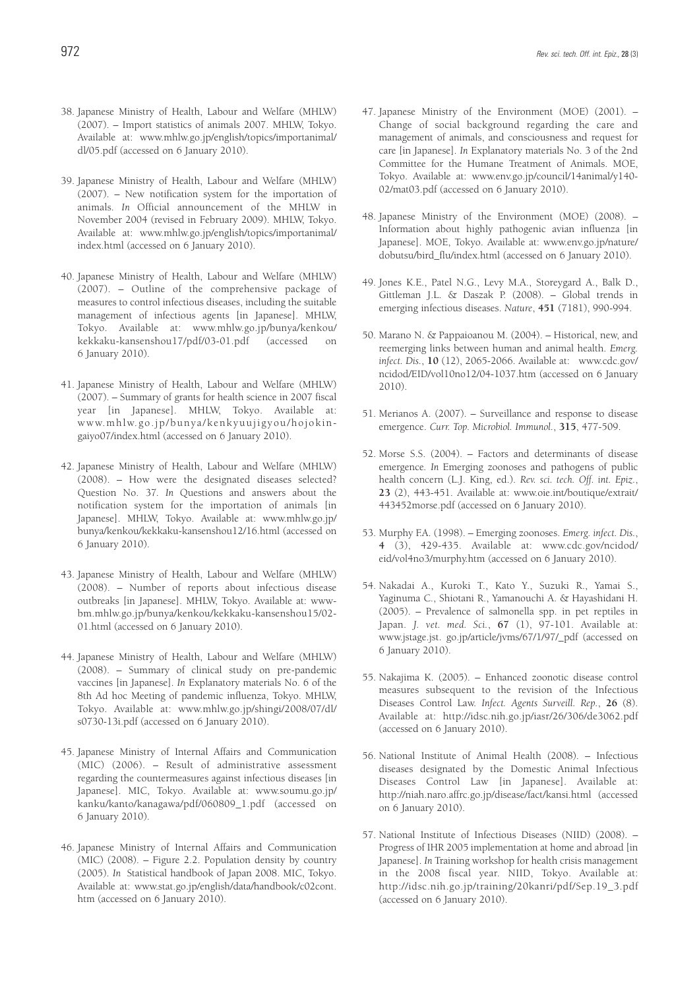- 38. Japanese Ministry of Health, Labour and Welfare (MHLW) (2007). – Import statistics of animals 2007. MHLW, Tokyo. Available at: www.mhlw.go.jp/english/topics/importanimal/ dl/05.pdf (accessed on 6 January 2010).
- 39. Japanese Ministry of Health, Labour and Welfare (MHLW) (2007). – New notification system for the importation of animals*. In* Official announcement of the MHLW in November 2004 (revised in February 2009). MHLW, Tokyo. Available at: www.mhlw.go.jp/english/topics/importanimal/ index.html (accessed on 6 January 2010).
- 40. Japanese Ministry of Health, Labour and Welfare (MHLW) (2007). – Outline of the comprehensive package of measures to control infectious diseases, including the suitable management of infectious agents [in Japanese]. MHLW, Tokyo. Available at: www.mhlw.go.jp/bunya/kenkou/ kekkaku-kansenshou17/pdf/03-01.pdf (accessed on 6 January 2010).
- 41. Japanese Ministry of Health, Labour and Welfare (MHLW) (2007). – Summary of grants for health science in 2007 fiscal year [in Japanese]. MHLW, Tokyo. Available at: www.mhlw.go.jp/bunya/kenkyuujigyou/hojokingaiyo07/index.html (accessed on 6 January 2010).
- 42. Japanese Ministry of Health, Labour and Welfare (MHLW) (2008). – How were the designated diseases selected? Question No. 37*. In* Questions and answers about the notification system for the importation of animals [in Japanese]. MHLW, Tokyo. Available at: www.mhlw.go.jp/ bunya/kenkou/kekkaku-kansenshou12/16.html (accessed on 6 January 2010).
- 43. Japanese Ministry of Health, Labour and Welfare (MHLW) (2008). – Number of reports about infectious disease outbreaks [in Japanese]. MHLW, Tokyo. Available at: wwwbm.mhlw.go.jp/bunya/kenkou/kekkaku-kansenshou15/02- 01.html (accessed on 6 January 2010).
- 44. Japanese Ministry of Health, Labour and Welfare (MHLW) (2008). – Summary of clinical study on pre-pandemic vaccines [in Japanese]. *In* Explanatory materials No. 6 of the 8th Ad hoc Meeting of pandemic influenza, Tokyo. MHLW, Tokyo. Available at: www.mhlw.go.jp/shingi/2008/07/dl/ s0730-13i.pdf (accessed on 6 January 2010).
- 45. Japanese Ministry of Internal Affairs and Communication (MIC) (2006). – Result of administrative assessment regarding the countermeasures against infectious diseases [in Japanese]. MIC, Tokyo. Available at: www.soumu.go.jp/ kanku/kanto/kanagawa/pdf/060809\_1.pdf (accessed on 6 January 2010).
- 46. Japanese Ministry of Internal Affairs and Communication (MIC) (2008). – Figure 2.2. Population density by country (2005). *In* Statistical handbook of Japan 2008. MIC, Tokyo. Available at: www.stat.go.jp/english/data/handbook/c02cont. htm (accessed on 6 January 2010).
- 47. Japanese Ministry of the Environment (MOE) (2001). Change of social background regarding the care and management of animals, and consciousness and request for care [in Japanese]. *In* Explanatory materials No. 3 of the 2nd Committee for the Humane Treatment of Animals. MOE, Tokyo. Available at: www.env.go.jp/council/14animal/y140- 02/mat03.pdf (accessed on 6 January 2010).
- 48. Japanese Ministry of the Environment (MOE) (2008). Information about highly pathogenic avian influenza [in Japanese]. MOE, Tokyo. Available at: www.env.go.jp/nature/ dobutsu/bird\_flu/index.html (accessed on 6 January 2010).
- 49. Jones K.E., Patel N.G., Levy M.A., Storeygard A., Balk D., Gittleman J.L. & Daszak P. (2008). – Global trends in emerging infectious diseases. *Nature*, **451** (7181), 990-994.
- 50. Marano N. & Pappaioanou M. (2004). Historical, new, and reemerging links between human and animal health. *Emerg. infect. Dis.*, **10** (12), 2065-2066. Available at: www.cdc.gov/ ncidod/EID/vol10no12/04-1037.htm (accessed on 6 January 2010).
- 51. Merianos A. (2007). Surveillance and response to disease emergence. *Curr. Top. Microbiol. Immunol.*, **315**, 477-509.
- 52. Morse S.S. (2004). Factors and determinants of disease emergence*. In* Emerging zoonoses and pathogens of public health concern (L.J. King, ed.). *Rev. sci. tech. Off. int. Epiz.*, **23** (2), 443-451. Available at: www.oie.int/boutique/extrait/ 443452morse.pdf (accessed on 6 January 2010).
- 53. Murphy F.A. (1998). Emerging zoonoses. *Emerg. infect. Dis.*, **4** (3), 429-435. Available at: www.cdc.gov/ncidod/ eid/vol4no3/murphy.htm (accessed on 6 January 2010).
- 54. Nakadai A., Kuroki T., Kato Y., Suzuki R., Yamai S., Yaginuma C., Shiotani R., Yamanouchi A. & Hayashidani H. (2005). – Prevalence of salmonella spp. in pet reptiles in Japan. *J. vet. med. Sci.*, **67** (1), 97-101. Available at: www.jstage.jst. go.jp/article/jvms/67/1/97/\_pdf (accessed on 6 January 2010).
- 55. Nakajima K. (2005). Enhanced zoonotic disease control measures subsequent to the revision of the Infectious Diseases Control Law. *Infect. Agents Surveill. Rep.*, **26** (8). Available at: http://idsc.nih.go.jp/iasr/26/306/de3062.pdf (accessed on 6 January 2010).
- 56. National Institute of Animal Health (2008). Infectious diseases designated by the Domestic Animal Infectious Diseases Control Law [in Japanese]. Available at: http://niah.naro.affrc.go.jp/disease/fact/kansi.html (accessed on 6 January 2010).
- 57. National Institute of Infectious Diseases (NIID) (2008). Progress of IHR 2005 implementation at home and abroad [in Japanese]. *In* Training workshop for health crisis management in the 2008 fiscal year. NIID, Tokyo. Available at: http://idsc.nih.go.jp/training/20kanri/pdf/Sep.19\_3.pdf (accessed on 6 January 2010).